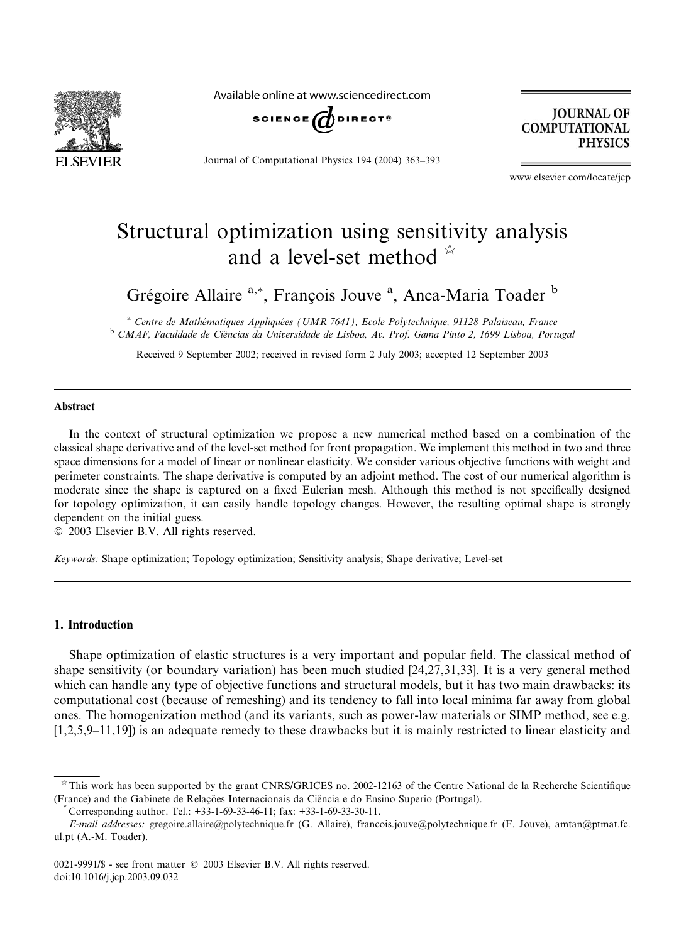

Available online at www.sciencedirect.com



Journal of Computational Physics 194 (2004) 363–393

**JOURNAL OF COMPUTATIONAL PHYSICS** 

www.elsevier.com/locate/jcp

# Structural optimization using sensitivity analysis and a level-set method  $\overrightarrow{a}$

Grégoire Allaire <sup>a,\*</sup>, François Jouve <sup>a</sup>, Anca-Maria Toader <sup>b</sup>

<sup>a</sup> Centre de Mathématiques Appliquées (UMR 7641), Ecole Polytechnique, 91128 Palaiseau, France b CMAF, Faculdade de Ciências da Universidade de Lisboa, Av. Prof. Gama Pinto 2, 1699 Lisboa, Portugal

Received 9 September 2002; received in revised form 2 July 2003; accepted 12 September 2003

#### Abstract

In the context of structural optimization we propose a new numerical method based on a combination of the classical shape derivative and of the level-set method for front propagation. We implement this method in two and three space dimensions for a model of linear or nonlinear elasticity. We consider various objective functions with weight and perimeter constraints. The shape derivative is computed by an adjoint method. The cost of our numerical algorithm is moderate since the shape is captured on a fixed Eulerian mesh. Although this method is not specifically designed for topology optimization, it can easily handle topology changes. However, the resulting optimal shape is strongly dependent on the initial guess.

2003 Elsevier B.V. All rights reserved.

Keywords: Shape optimization; Topology optimization; Sensitivity analysis; Shape derivative; Level-set

#### 1. Introduction

Shape optimization of elastic structures is a very important and popular field. The classical method of shape sensitivity (or boundary variation) has been much studied [24,27,31,33]. It is a very general method which can handle any type of objective functions and structural models, but it has two main drawbacks: its computational cost (because of remeshing) and its tendency to fall into local minima far away from global ones. The homogenization method (and its variants, such as power-law materials or SIMP method, see e.g. [1,2,5,9–11,19]) is an adequate remedy to these drawbacks but it is mainly restricted to linear elasticity and

 $\hat{\tau}$  This work has been supported by the grant CNRS/GRICES no. 2002-12163 of the Centre National de la Recherche Scientifique (France) and the Gabinete de Relações Internacionais da Ciência e do Ensino Superio (Portugal). \* Corresponding author. Tel.: +33-1-69-33-46-11; fax: +33-1-69-33-30-11.

E-mail addresses: [gregoire.allaire@polytechnique.fr](mail to: gregoire.allaire@polytechnique.fr) (G. Allaire), francois.jouve@polytechnique.fr (F. Jouve), amtan@ptmat.fc. ul.pt (A.-M. Toader).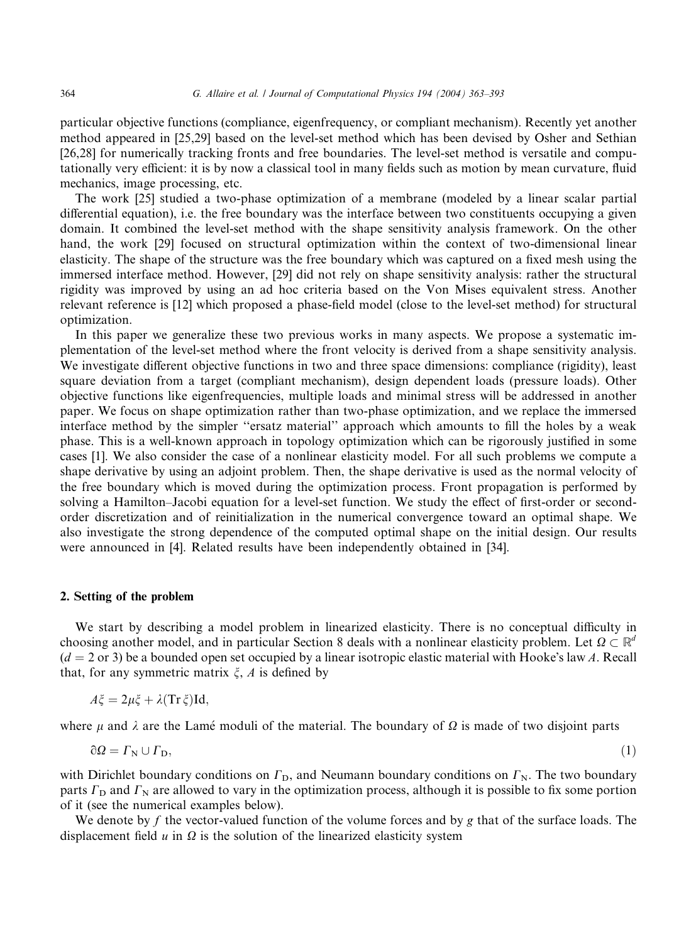particular objective functions (compliance, eigenfrequency, or compliant mechanism). Recently yet another method appeared in [25,29] based on the level-set method which has been devised by Osher and Sethian [26,28] for numerically tracking fronts and free boundaries. The level-set method is versatile and computationally very efficient: it is by now a classical tool in many fields such as motion by mean curvature, fluid mechanics, image processing, etc.

The work [25] studied a two-phase optimization of a membrane (modeled by a linear scalar partial differential equation), i.e. the free boundary was the interface between two constituents occupying a given domain. It combined the level-set method with the shape sensitivity analysis framework. On the other hand, the work [29] focused on structural optimization within the context of two-dimensional linear elasticity. The shape of the structure was the free boundary which was captured on a fixed mesh using the immersed interface method. However, [29] did not rely on shape sensitivity analysis: rather the structural rigidity was improved by using an ad hoc criteria based on the Von Mises equivalent stress. Another relevant reference is [12] which proposed a phase-field model (close to the level-set method) for structural optimization.

In this paper we generalize these two previous works in many aspects. We propose a systematic implementation of the level-set method where the front velocity is derived from a shape sensitivity analysis. We investigate different objective functions in two and three space dimensions: compliance (rigidity), least square deviation from a target (compliant mechanism), design dependent loads (pressure loads). Other objective functions like eigenfrequencies, multiple loads and minimal stress will be addressed in another paper. We focus on shape optimization rather than two-phase optimization, and we replace the immersed interface method by the simpler ''ersatz material'' approach which amounts to fill the holes by a weak phase. This is a well-known approach in topology optimization which can be rigorously justified in some cases [1]. We also consider the case of a nonlinear elasticity model. For all such problems we compute a shape derivative by using an adjoint problem. Then, the shape derivative is used as the normal velocity of the free boundary which is moved during the optimization process. Front propagation is performed by solving a Hamilton–Jacobi equation for a level-set function. We study the effect of first-order or secondorder discretization and of reinitialization in the numerical convergence toward an optimal shape. We also investigate the strong dependence of the computed optimal shape on the initial design. Our results were announced in [4]. Related results have been independently obtained in [34].

#### 2. Setting of the problem

We start by describing a model problem in linearized elasticity. There is no conceptual difficulty in choosing another model, and in particular Section 8 deals with a nonlinear elasticity problem. Let  $\Omega \subset \mathbb{R}^d$  $(d = 2 \text{ or } 3)$  be a bounded open set occupied by a linear isotropic elastic material with Hooke's law A. Recall that, for any symmetric matrix  $\xi$ , A is defined by

$$
A\xi = 2\mu\xi + \lambda(\operatorname{Tr}\xi)\operatorname{Id},
$$

where  $\mu$  and  $\lambda$  are the Lame moduli of the material. The boundary of  $\Omega$  is made of two disjoint parts

$$
\partial \Omega = \Gamma_{\rm N} \cup \Gamma_{\rm D},\tag{1}
$$

with Dirichlet boundary conditions on  $\Gamma_{\text{D}}$ , and Neumann boundary conditions on  $\Gamma_{\text{N}}$ . The two boundary parts  $\Gamma_{\rm D}$  and  $\Gamma_{\rm N}$  are allowed to vary in the optimization process, although it is possible to fix some portion of it (see the numerical examples below).

We denote by f the vector-valued function of the volume forces and by g that of the surface loads. The displacement field  $u$  in  $\Omega$  is the solution of the linearized elasticity system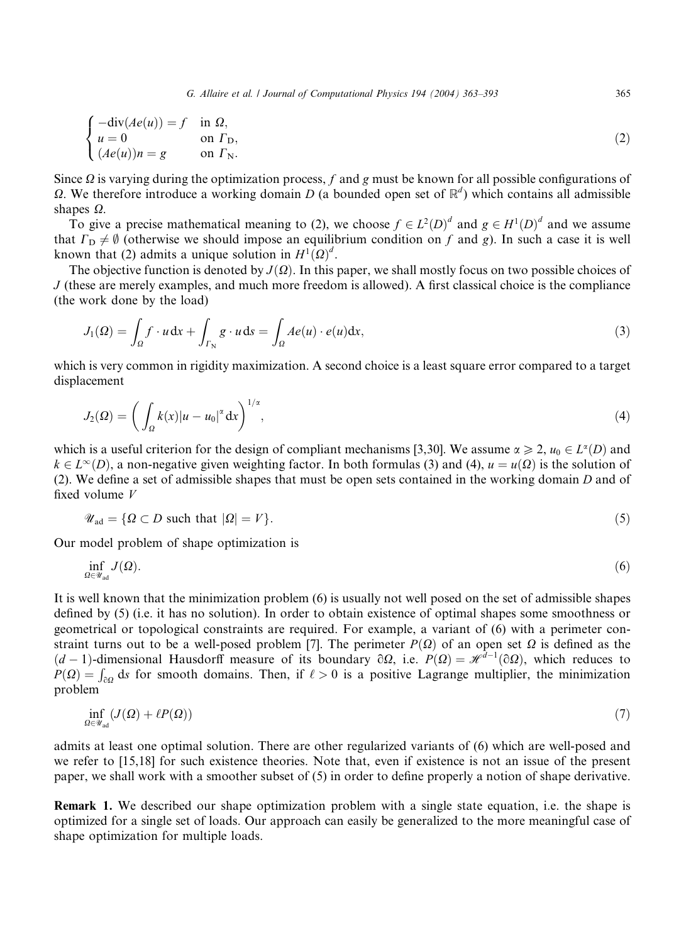$$
\begin{cases}\n-\text{div}(Ae(u)) = f & \text{in } \Omega, \\
u = 0 & \text{on } \Gamma_{D}, \\
(Ae(u))n = g & \text{on } \Gamma_{N}.\n\end{cases}
$$
\n(2)

Since  $\Omega$  is varying during the optimization process, f and g must be known for all possible configurations of  $\Omega$ . We therefore introduce a working domain D (a bounded open set of  $\mathbb{R}^d$ ) which contains all admissible shapes  $\Omega$ .

To give a precise mathematical meaning to (2), we choose  $f \in L^2(D)^d$  and  $g \in H^1(D)^d$  and we assume that  $\Gamma_{\text{D}} \neq \emptyset$  (otherwise we should impose an equilibrium condition on f and g). In such a case it is well known that (2) admits a unique solution in  $H^1(\Omega)^d$ .

The objective function is denoted by  $J(\Omega)$ . In this paper, we shall mostly focus on two possible choices of  $J$  (these are merely examples, and much more freedom is allowed). A first classical choice is the compliance (the work done by the load)

$$
J_1(\Omega) = \int_{\Omega} f \cdot u \, dx + \int_{\Gamma_N} g \cdot u \, ds = \int_{\Omega} A e(u) \cdot e(u) dx, \tag{3}
$$

which is very common in rigidity maximization. A second choice is a least square error compared to a target displacement

$$
J_2(\Omega) = \left(\int_{\Omega} k(x)|u - u_0|^{\alpha} dx\right)^{1/\alpha},\tag{4}
$$

which is a useful criterion for the design of compliant mechanisms [3,30]. We assume  $\alpha \geq 2$ ,  $u_0 \in L^{\alpha}(D)$  and  $k \in L^{\infty}(D)$ , a non-negative given weighting factor. In both formulas (3) and (4),  $u = u(\Omega)$  is the solution of (2). We define a set of admissible shapes that must be open sets contained in the working domain D and of fixed volume V

$$
\mathcal{U}_{\text{ad}} = \{ \Omega \subset D \text{ such that } |\Omega| = V \}. \tag{5}
$$

Our model problem of shape optimization is

$$
\inf_{\Omega \in \mathcal{U}_{\text{ad}}} J(\Omega). \tag{6}
$$

It is well known that the minimization problem (6) is usually not well posed on the set of admissible shapes defined by (5) (i.e. it has no solution). In order to obtain existence of optimal shapes some smoothness or geometrical or topological constraints are required. For example, a variant of (6) with a perimeter constraint turns out to be a well-posed problem [7]. The perimeter  $P(\Omega)$  of an open set  $\Omega$  is defined as the  $(d-1)$ -dimensional Hausdorff measure of its boundary  $\partial\Omega$ , i.e.  $P(\Omega) = \mathcal{H}^{d-1}(\partial\Omega)$ , which reduces to  $P(\Omega) = \int_{\partial \Omega} ds$  for smooth domains. Then, if  $\ell > 0$  is a positive Lagrange multiplier, the minimization problem

$$
\inf_{\Omega \in \mathcal{U}_{\text{ad}}} (J(\Omega) + \ell P(\Omega)) \tag{7}
$$

admits at least one optimal solution. There are other regularized variants of (6) which are well-posed and we refer to [15,18] for such existence theories. Note that, even if existence is not an issue of the present paper, we shall work with a smoother subset of (5) in order to define properly a notion of shape derivative.

Remark 1. We described our shape optimization problem with a single state equation, i.e. the shape is optimized for a single set of loads. Our approach can easily be generalized to the more meaningful case of shape optimization for multiple loads.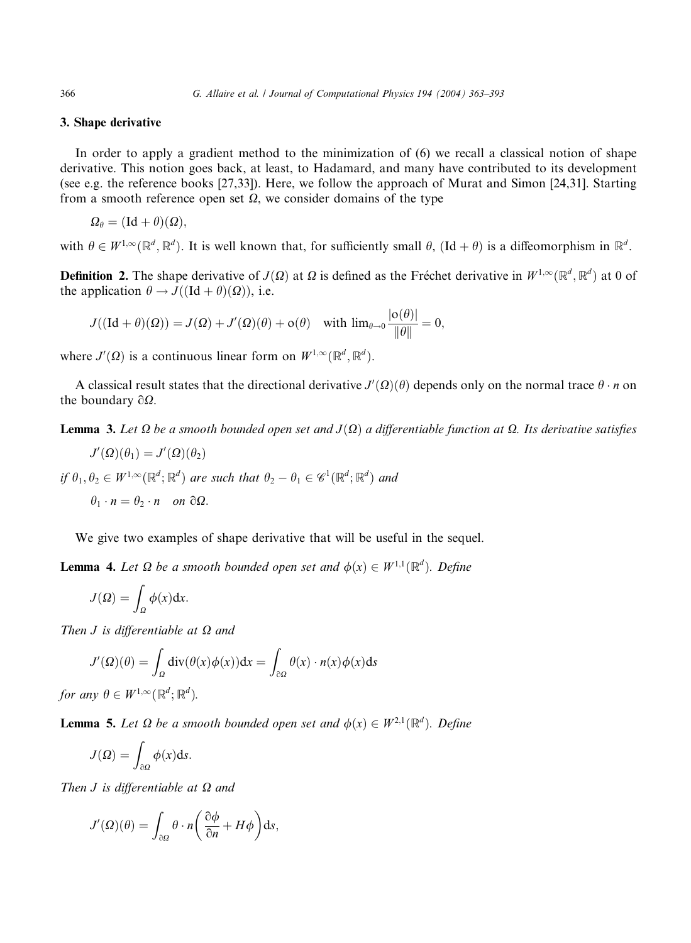# 3. Shape derivative

In order to apply a gradient method to the minimization of (6) we recall a classical notion of shape derivative. This notion goes back, at least, to Hadamard, and many have contributed to its development (see e.g. the reference books [27,33]). Here, we follow the approach of Murat and Simon [24,31]. Starting from a smooth reference open set  $\Omega$ , we consider domains of the type

$$
\Omega_{\theta} = (\mathrm{Id} + \theta)(\Omega),
$$

with  $\theta \in W^{1,\infty}(\mathbb{R}^d, \mathbb{R}^d)$ . It is well known that, for sufficiently small  $\theta$ ,  $(\mathrm{Id} + \theta)$  is a diffeomorphism in  $\mathbb{R}^d$ .

**Definition 2.** The shape derivative of  $J(\Omega)$  at  $\Omega$  is defined as the Fréchet derivative in  $W^{1,\infty}(\mathbb{R}^d, \mathbb{R}^d)$  at 0 of the application  $\theta \rightarrow J((\mathrm{Id} + \theta)(\Omega))$ , i.e.

$$
J((\mathrm{Id} + \theta)(\Omega)) = J(\Omega) + J'(\Omega)(\theta) + o(\theta) \quad \text{with } \lim_{\theta \to 0} \frac{|o(\theta)|}{\|\theta\|} = 0,
$$

where  $J'(\Omega)$  is a continuous linear form on  $W^{1,\infty}(\mathbb{R}^d, \mathbb{R}^d)$ .

A classical result states that the directional derivative  $J'(\Omega)(\theta)$  depends only on the normal trace  $\theta \cdot n$  on the boundary  $\partial\Omega$ .

**Lemma 3.** Let  $\Omega$  be a smooth bounded open set and  $J(\Omega)$  a differentiable function at  $\Omega$ . Its derivative satisfies

$$
J'(\Omega)(\theta_1) = J'(\Omega)(\theta_2)
$$

if  $\theta_1, \theta_2 \in W^{1,\infty}(\mathbb{R}^d; \mathbb{R}^d)$  are such that  $\theta_2 - \theta_1 \in \mathscr{C}^1(\mathbb{R}^d; \mathbb{R}^d)$  and  $\theta_1 \cdot n = \theta_2 \cdot n$  on  $\partial \Omega$ .

We give two examples of shape derivative that will be useful in the sequel.

**Lemma 4.** Let  $\Omega$  be a smooth bounded open set and  $\phi(x) \in W^{1,1}(\mathbb{R}^d)$ . Define

$$
J(\Omega) = \int_{\Omega} \phi(x) \mathrm{d}x.
$$

Then J is differentiable at  $\Omega$  and

$$
J'(\Omega)(\theta) = \int_{\Omega} \text{div}(\theta(x)\phi(x))dx = \int_{\partial\Omega} \theta(x) \cdot n(x)\phi(x)dx
$$

for any  $\theta \in W^{1,\infty}(\mathbb{R}^d;\mathbb{R}^d)$ .

**Lemma 5.** Let  $\Omega$  be a smooth bounded open set and  $\phi(x) \in W^{2,1}(\mathbb{R}^d)$ . Define

$$
J(\Omega) = \int_{\partial \Omega} \phi(x) \mathrm{d}s.
$$

Then  $J$  is differentiable at  $\Omega$  and

$$
J'(\Omega)(\theta) = \int_{\partial\Omega} \theta \cdot n \left( \frac{\partial \phi}{\partial n} + H\phi \right) ds,
$$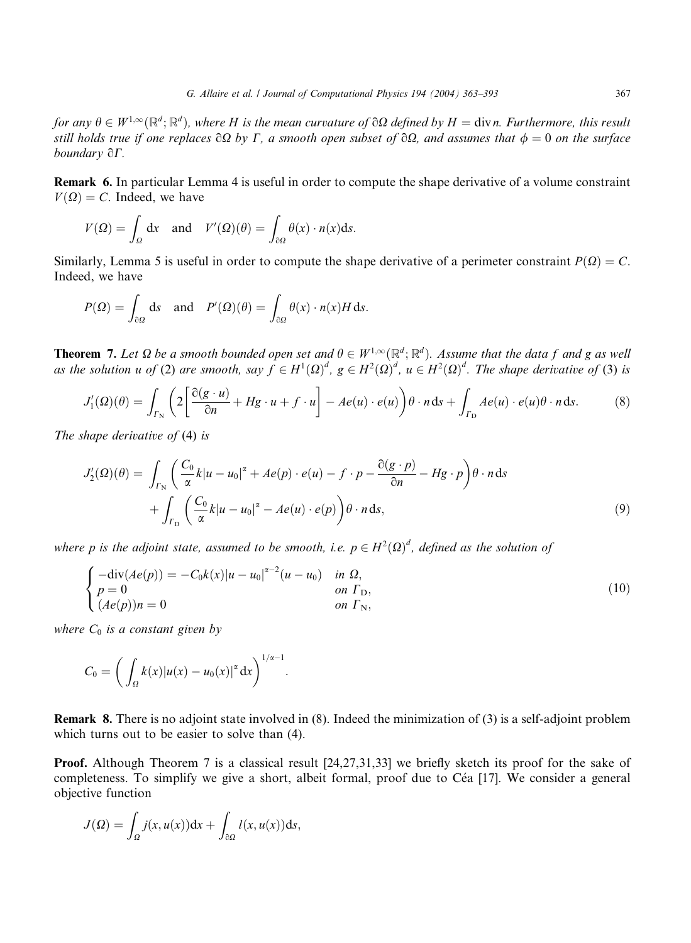for any  $\theta\in W^{1,\infty}(\R^d;\R^d)$ , where H is the mean curvature of  $\partial\Omega$  defined by  $H=$   $\dim$  . Furthermore, this result still holds true if one replaces  $\partial\Omega$  by  $\Gamma$ , a smooth open subset of  $\partial\Omega$ , and assumes that  $\phi = 0$  on the surface  $boundary$   $\partial\Gamma$ .

Remark 6. In particular Lemma 4 is useful in order to compute the shape derivative of a volume constraint  $V(\Omega) = C$ . Indeed, we have

$$
V(\Omega) = \int_{\Omega} dx \text{ and } V'(\Omega)(\theta) = \int_{\partial\Omega} \theta(x) \cdot n(x) ds.
$$

Similarly, Lemma 5 is useful in order to compute the shape derivative of a perimeter constraint  $P(\Omega) = C$ . Indeed, we have

$$
P(\Omega) = \int_{\partial \Omega} ds
$$
 and  $P'(\Omega)(\theta) = \int_{\partial \Omega} \theta(x) \cdot n(x) H ds.$ 

**Theorem 7.** Let  $\Omega$  be a smooth bounded open set and  $\theta \in W^{1,\infty}(\mathbb{R}^d;\mathbb{R}^d)$ . Assume that the data f and g as well as the solution u of (2) are smooth, say  $f \in H^1(\Omega)^d$ ,  $g \in H^2(\Omega)^d$ ,  $u \in H^2(\Omega)^d$ . The shape derivative of (3) is

$$
J_1'(\Omega)(\theta) = \int_{\Gamma_\mathcal{N}} \left( 2 \left[ \frac{\partial (g \cdot u)}{\partial n} + H g \cdot u + f \cdot u \right] - A e(u) \cdot e(u) \right) \theta \cdot n \, ds + \int_{\Gamma_\mathcal{D}} A e(u) \cdot e(u) \theta \cdot n \, ds. \tag{8}
$$

The shape derivative of  $(4)$  is

$$
J'_{2}(\Omega)(\theta) = \int_{\Gamma_{\rm N}} \left( \frac{C_{0}}{\alpha} k |u - u_{0}|^{2} + Ae(p) \cdot e(u) - f \cdot p - \frac{\partial(g \cdot p)}{\partial n} - Hg \cdot p \right) \theta \cdot n \, ds
$$

$$
+ \int_{\Gamma_{\rm D}} \left( \frac{C_{0}}{\alpha} k |u - u_{0}|^{2} - Ae(u) \cdot e(p) \right) \theta \cdot n \, ds,
$$
(9)

where p is the adjoint state, assumed to be smooth, i.e.  $p \in H^2(\Omega)^d$ , defined as the solution of

:

$$
\begin{cases}\n-\text{div}(Ae(p)) = -C_0k(x)|u - u_0|^{\alpha - 2}(u - u_0) & \text{in } \Omega, \\
p = 0 & \text{on } \Gamma_D, \\
(Ae(p))n = 0 & \text{on } \Gamma_N,\n\end{cases}
$$
\n(10)

where  $C_0$  is a constant given by

$$
C_0 = \left( \int_{\Omega} k(x) |u(x) - u_0(x)|^{\alpha} dx \right)^{1/\alpha - 1}
$$

Remark 8. There is no adjoint state involved in (8). Indeed the minimization of (3) is a self-adjoint problem which turns out to be easier to solve than (4).

Proof. Although Theorem 7 is a classical result [24,27,31,33] we briefly sketch its proof for the sake of completeness. To simplify we give a short, albeit formal, proof due to Cea [17]. We consider a general objective function

$$
J(\Omega) = \int_{\Omega} j(x, u(x)) \mathrm{d}x + \int_{\partial \Omega} l(x, u(x)) \mathrm{d}s,
$$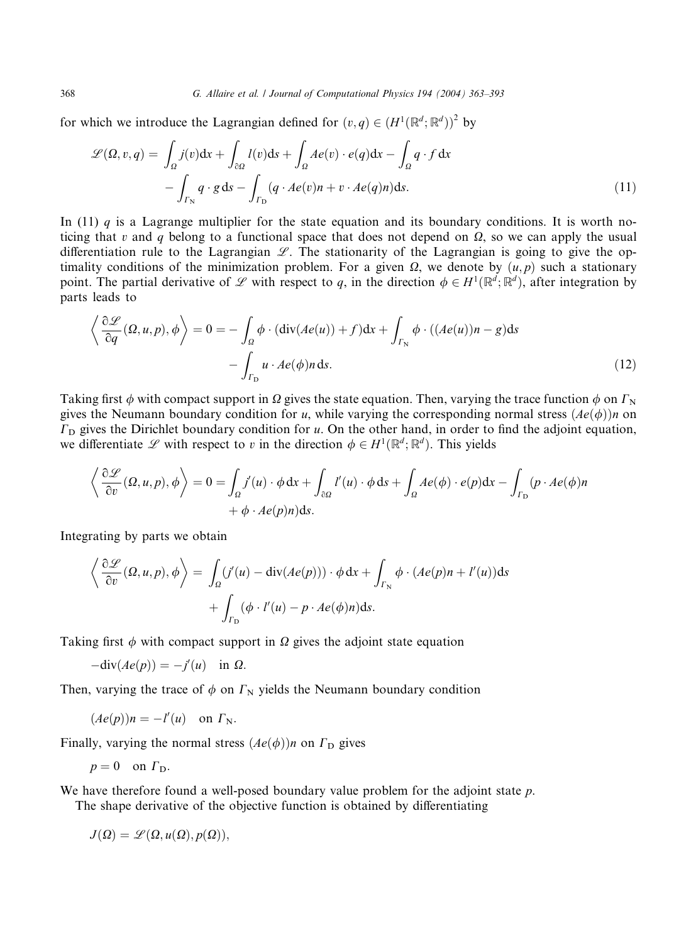for which we introduce the Lagrangian defined for  $(v, q) \in (H^1(\mathbb{R}^d; \mathbb{R}^d))^2$  by

$$
\mathcal{L}(\Omega, v, q) = \int_{\Omega} j(v) \, dx + \int_{\partial \Omega} l(v) \, ds + \int_{\Omega} A e(v) \cdot e(q) \, dx - \int_{\Omega} q \cdot f \, dx
$$

$$
- \int_{\Gamma_N} q \cdot g \, ds - \int_{\Gamma_D} (q \cdot A e(v) n + v \cdot A e(q) n) \, ds. \tag{11}
$$

In (11)  $q$  is a Lagrange multiplier for the state equation and its boundary conditions. It is worth noticing that v and q belong to a functional space that does not depend on  $\Omega$ , so we can apply the usual differentiation rule to the Lagrangian  $\mathscr{L}$ . The stationarity of the Lagrangian is going to give the optimality conditions of the minimization problem. For a given  $\Omega$ , we denote by  $(u, p)$  such a stationary point. The partial derivative of  $\mathscr L$  with respect to q, in the direction  $\phi \in H^1(\mathbb R^d;\mathbb R^d)$ , after integration by parts leads to

$$
\left\langle \frac{\partial \mathcal{L}}{\partial q}(\Omega, u, p), \phi \right\rangle = 0 = -\int_{\Omega} \phi \cdot (\text{div}(Ae(u)) + f) \, dx + \int_{\Gamma_N} \phi \cdot ((Ae(u))n - g) \, ds - \int_{\Gamma_D} u \cdot Ae(\phi)n \, ds. \tag{12}
$$

Taking first  $\phi$  with compact support in  $\Omega$  gives the state equation. Then, varying the trace function  $\phi$  on  $\Gamma_{\rm N}$ gives the Neumann boundary condition for u, while varying the corresponding normal stress  $(Ae(\phi))n$  on  $\Gamma_{\text{D}}$  gives the Dirichlet boundary condition for u. On the other hand, in order to find the adjoint equation, we differentiate  $\mathscr L$  with respect to v in the direction  $\phi \in H^1(\mathbb R^d; \mathbb R^d)$ . This yields

$$
\left\langle \frac{\partial \mathcal{L}}{\partial v}(\Omega, u, p), \phi \right\rangle = 0 = \int_{\Omega} j'(u) \cdot \phi \, dx + \int_{\partial \Omega} l'(u) \cdot \phi \, ds + \int_{\Omega} Ae(\phi) \cdot e(p) dx - \int_{\Gamma_{\mathcal{D}}} (p \cdot Ae(\phi)) \, d\phi + \phi \cdot Ae(p) \, d\phi.
$$

Integrating by parts we obtain

$$
\left\langle \frac{\partial \mathcal{L}}{\partial v} (\Omega, u, p), \phi \right\rangle = \int_{\Omega} (j'(u) - \text{div}(Ae(p))) \cdot \phi \, dx + \int_{\Gamma_N} \phi \cdot (Ae(p)n + l'(u)) \, ds
$$

$$
+ \int_{\Gamma_D} (\phi \cdot l'(u) - p \cdot Ae(\phi)n) \, ds.
$$

Taking first  $\phi$  with compact support in  $\Omega$  gives the adjoint state equation

$$
-div(Ae(p)) = -j'(u) \text{ in } \Omega.
$$

Then, varying the trace of  $\phi$  on  $\Gamma_N$  yields the Neumann boundary condition

 $(Ae(p))n = -l'(u)$  on  $\Gamma_N$ .

Finally, varying the normal stress  $(Ae(\phi))n$  on  $\Gamma_{\text{D}}$  gives

$$
p=0 \quad \text{on } \Gamma_{\mathcal{D}}.
$$

We have therefore found a well-posed boundary value problem for the adjoint state  $p$ . The shape derivative of the objective function is obtained by differentiating

$$
J(\Omega) = \mathscr{L}(\Omega, u(\Omega), p(\Omega)),
$$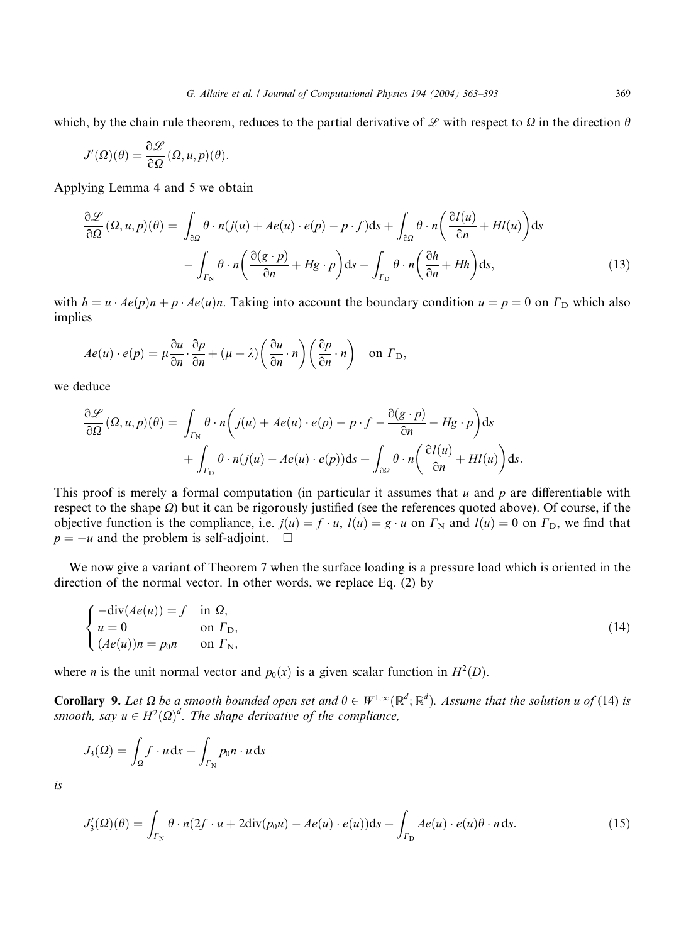which, by the chain rule theorem, reduces to the partial derivative of  $\mathscr L$  with respect to  $\Omega$  in the direction  $\theta$ 

$$
J'(\Omega)(\theta) = \frac{\partial \mathcal{L}}{\partial \Omega}(\Omega, u, p)(\theta).
$$

Applying Lemma 4 and 5 we obtain

$$
\frac{\partial \mathcal{L}}{\partial \Omega}(\Omega, u, p)(\theta) = \int_{\partial \Omega} \theta \cdot n(j(u) + Ae(u) \cdot e(p) - p \cdot f) ds + \int_{\partial \Omega} \theta \cdot n \left( \frac{\partial l(u)}{\partial n} + Hl(u) \right) ds - \int_{\Gamma_N} \theta \cdot n \left( \frac{\partial (g \cdot p)}{\partial n} + Hg \cdot p \right) ds - \int_{\Gamma_D} \theta \cdot n \left( \frac{\partial h}{\partial n} + Hh \right) ds,
$$
(13)

with  $h = u \cdot Ae(p)n + p \cdot Ae(u)n$ . Taking into account the boundary condition  $u = p = 0$  on  $\Gamma_{\text{D}}$  which also implies

$$
Ae(u) \cdot e(p) = \mu \frac{\partial u}{\partial n} \cdot \frac{\partial p}{\partial n} + (\mu + \lambda) \left(\frac{\partial u}{\partial n} \cdot n\right) \left(\frac{\partial p}{\partial n} \cdot n\right) \text{ on } \Gamma_{\mathcal{D}},
$$

we deduce

$$
\frac{\partial \mathcal{L}}{\partial \Omega}(\Omega, u, p)(\theta) = \int_{\Gamma_N} \theta \cdot n \bigg( j(u) + Ae(u) \cdot e(p) - p \cdot f - \frac{\partial (g \cdot p)}{\partial n} - Hg \cdot p \bigg) ds + \int_{\Gamma_D} \theta \cdot n(j(u) - Ae(u) \cdot e(p)) ds + \int_{\partial \Omega} \theta \cdot n \bigg( \frac{\partial l(u)}{\partial n} + Hl(u) \bigg) ds.
$$

This proof is merely a formal computation (in particular it assumes that  $u$  and  $p$  are differentiable with respect to the shape  $\Omega$ ) but it can be rigorously justified (see the references quoted above). Of course, if the objective function is the compliance, i.e.  $j(u) = f \cdot u$ ,  $l(u) = g \cdot u$  on  $\Gamma_N$  and  $l(u) = 0$  on  $\Gamma_D$ , we find that  $p = -u$  and the problem is self-adjoint.  $\square$ 

We now give a variant of Theorem 7 when the surface loading is a pressure load which is oriented in the direction of the normal vector. In other words, we replace Eq. (2) by

$$
\begin{cases}\n-\text{div}(Ae(u)) = f & \text{in } \Omega, \\
u = 0 & \text{on } \Gamma_{\text{D}}, \\
(Ae(u))n = p_0 n & \text{on } \Gamma_{\text{N}},\n\end{cases}
$$
\n(14)

where *n* is the unit normal vector and  $p_0(x)$  is a given scalar function in  $H^2(D)$ .

**Corollary 9.** Let  $\Omega$  be a smooth bounded open set and  $\theta \in W^{1,\infty}(\mathbb{R}^d; \mathbb{R}^d)$ . Assume that the solution u of (14) is smooth, say  $u \in H^2(\Omega)^d$ . The shape derivative of the compliance,

$$
J_3(\Omega) = \int_{\Omega} f \cdot u \, dx + \int_{\Gamma_N} p_0 n \cdot u \, ds
$$

is

$$
J_3'(\Omega)(\theta) = \int_{\Gamma_\mathbb{N}} \theta \cdot n(2f \cdot u + 2\mathrm{div}(p_0 u) - Ae(u) \cdot e(u)) \mathrm{d}s + \int_{\Gamma_\mathbb{D}} Ae(u) \cdot e(u)\theta \cdot n \mathrm{d}s. \tag{15}
$$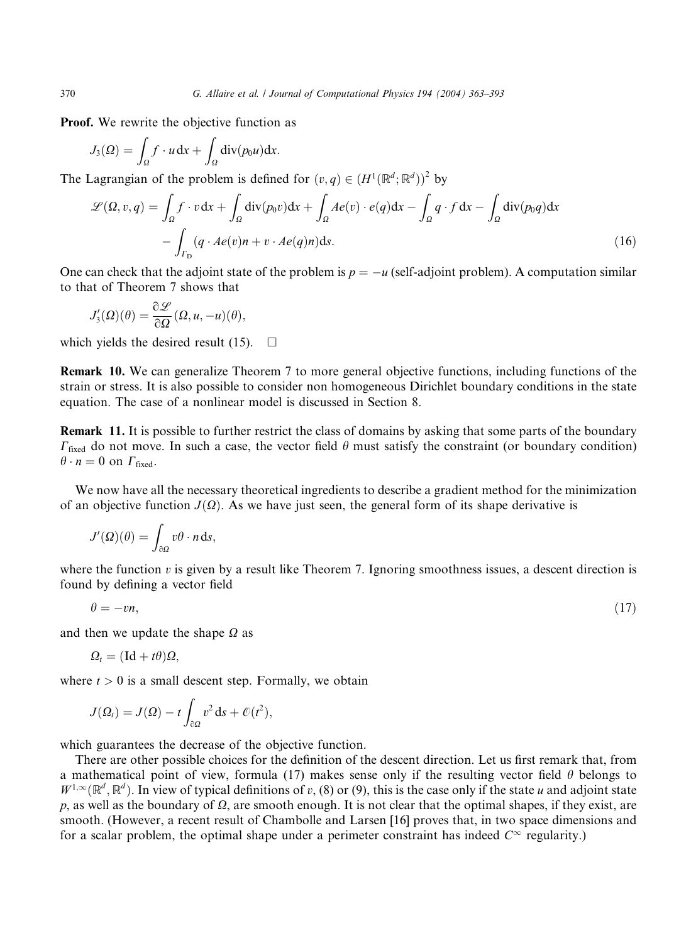Proof. We rewrite the objective function as

$$
J_3(\Omega) = \int_{\Omega} f \cdot u \, dx + \int_{\Omega} \text{div}(p_0 u) dx.
$$

The Lagrangian of the problem is defined for  $(v, q) \in (H^1(\mathbb{R}^d; \mathbb{R}^d))^2$  by

$$
\mathcal{L}(\Omega, v, q) = \int_{\Omega} f \cdot v \, dx + \int_{\Omega} \text{div}(p_0 v) \, dx + \int_{\Omega} A e(v) \cdot e(q) \, dx - \int_{\Omega} q \cdot f \, dx - \int_{\Omega} \text{div}(p_0 q) \, dx
$$
\n
$$
- \int_{\Gamma_{\mathcal{D}}} (q \cdot A e(v) n + v \cdot A e(q) n) \, ds. \tag{16}
$$

One can check that the adjoint state of the problem is  $p = -u$  (self-adjoint problem). A computation similar to that of Theorem 7 shows that

$$
J_3'(\Omega)(\theta) = \frac{\partial \mathcal{L}}{\partial \Omega}(\Omega, u, -u)(\theta),
$$

which yields the desired result (15).  $\Box$ 

Remark 10. We can generalize Theorem 7 to more general objective functions, including functions of the strain or stress. It is also possible to consider non homogeneous Dirichlet boundary conditions in the state equation. The case of a nonlinear model is discussed in Section 8.

Remark 11. It is possible to further restrict the class of domains by asking that some parts of the boundary  $\Gamma_{\text{fixed}}$  do not move. In such a case, the vector field  $\theta$  must satisfy the constraint (or boundary condition)  $\theta \cdot n = 0$  on  $\Gamma$  fixed.

We now have all the necessary theoretical ingredients to describe a gradient method for the minimization of an objective function  $J(\Omega)$ . As we have just seen, the general form of its shape derivative is

$$
J'(\Omega)(\theta) = \int_{\partial\Omega} v\theta \cdot n \, \mathrm{d}s,
$$

where the function  $v$  is given by a result like Theorem 7. Ignoring smoothness issues, a descent direction is found by defining a vector field

$$
\theta = -\nu n,\tag{17}
$$

and then we update the shape  $\Omega$  as

$$
\Omega_t = (\mathrm{Id} + t\theta)\Omega,
$$

where  $t > 0$  is a small descent step. Formally, we obtain

$$
J(\Omega_t)=J(\Omega)-t\int_{\partial\Omega}v^2\,\mathrm{d} s+\mathcal{O}(t^2),
$$

which guarantees the decrease of the objective function.

There are other possible choices for the definition of the descent direction. Let us first remark that, from a mathematical point of view, formula (17) makes sense only if the resulting vector field  $\theta$  belongs to  $W^{1,\infty}(\mathbb{R}^d,\mathbb{R}^d)$ . In view of typical definitions of v, (8) or (9), this is the case only if the state u and adjoint state p, as well as the boundary of  $\Omega$ , are smooth enough. It is not clear that the optimal shapes, if they exist, are smooth. (However, a recent result of Chambolle and Larsen [16] proves that, in two space dimensions and for a scalar problem, the optimal shape under a perimeter constraint has indeed  $C^{\infty}$  regularity.)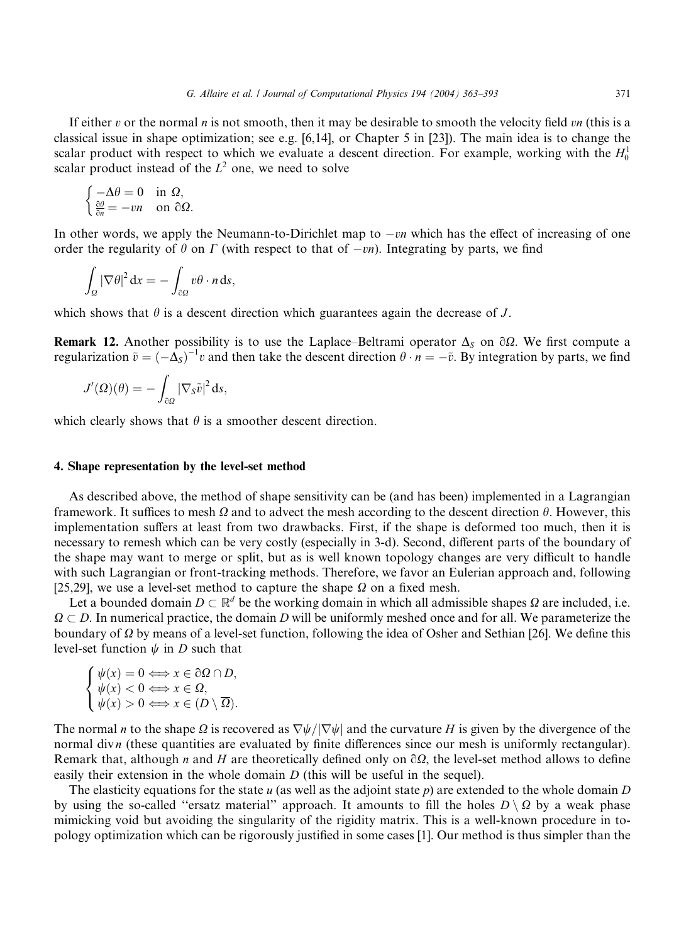$$
\begin{cases}\n-\Delta\theta = 0 & \text{in } \Omega, \\
\frac{\partial \theta}{\partial n} = -vn & \text{on } \partial\Omega.\n\end{cases}
$$

In other words, we apply the Neumann-to-Dirichlet map to  $-vn$  which has the effect of increasing of one order the regularity of  $\theta$  on  $\Gamma$  (with respect to that of  $-vn$ ). Integrating by parts, we find

$$
\int_{\Omega} |\nabla \theta|^2 dx = - \int_{\partial \Omega} v \theta \cdot n ds,
$$

which shows that  $\theta$  is a descent direction which guarantees again the decrease of  $J$ .

**Remark 12.** Another possibility is to use the Laplace–Beltrami operator  $\Delta_{\mathcal{S}}$  on  $\partial\Omega$ . We first compute a regularization  $\tilde{v} = (-\Delta_s)^{-1}v$  and then take the descent direction  $\theta \cdot n = -\tilde{v}$ . By integration by parts, we find

$$
J'(\Omega)(\theta) = -\int_{\partial\Omega} |\nabla_S \tilde{v}|^2 ds,
$$

which clearly shows that  $\theta$  is a smoother descent direction.

# 4. Shape representation by the level-set method

As described above, the method of shape sensitivity can be (and has been) implemented in a Lagrangian framework. It suffices to mesh  $\Omega$  and to advect the mesh according to the descent direction  $\theta$ . However, this implementation suffers at least from two drawbacks. First, if the shape is deformed too much, then it is necessary to remesh which can be very costly (especially in 3-d). Second, different parts of the boundary of the shape may want to merge or split, but as is well known topology changes are very difficult to handle with such Lagrangian or front-tracking methods. Therefore, we favor an Eulerian approach and, following [25,29], we use a level-set method to capture the shape  $\Omega$  on a fixed mesh.

Let a bounded domain  $D \subset \mathbb{R}^d$  be the working domain in which all admissible shapes  $\Omega$  are included, i.e.  $\Omega \subset D$ . In numerical practice, the domain D will be uniformly meshed once and for all. We parameterize the boundary of  $\Omega$  by means of a level-set function, following the idea of Osher and Sethian [26]. We define this level-set function  $\psi$  in D such that

$$
\begin{cases} \psi(x) = 0 \Longleftrightarrow x \in \partial \Omega \cap D, \\ \psi(x) < 0 \Longleftrightarrow x \in \Omega, \\ \psi(x) > 0 \Longleftrightarrow x \in (D \setminus \overline{\Omega}). \end{cases}
$$

The normal *n* to the shape  $\Omega$  is recovered as  $\nabla \psi / |\nabla \psi|$  and the curvature H is given by the divergence of the normal divn (these quantities are evaluated by finite differences since our mesh is uniformly rectangular). Remark that, although n and H are theoretically defined only on  $\partial\Omega$ , the level-set method allows to define easily their extension in the whole domain  $D$  (this will be useful in the sequel).

The elasticity equations for the state  $u$  (as well as the adjoint state  $p$ ) are extended to the whole domain  $D$ by using the so-called "ersatz material" approach. It amounts to fill the holes  $D \setminus \Omega$  by a weak phase mimicking void but avoiding the singularity of the rigidity matrix. This is a well-known procedure in topology optimization which can be rigorously justified in some cases [1]. Our method is thus simpler than the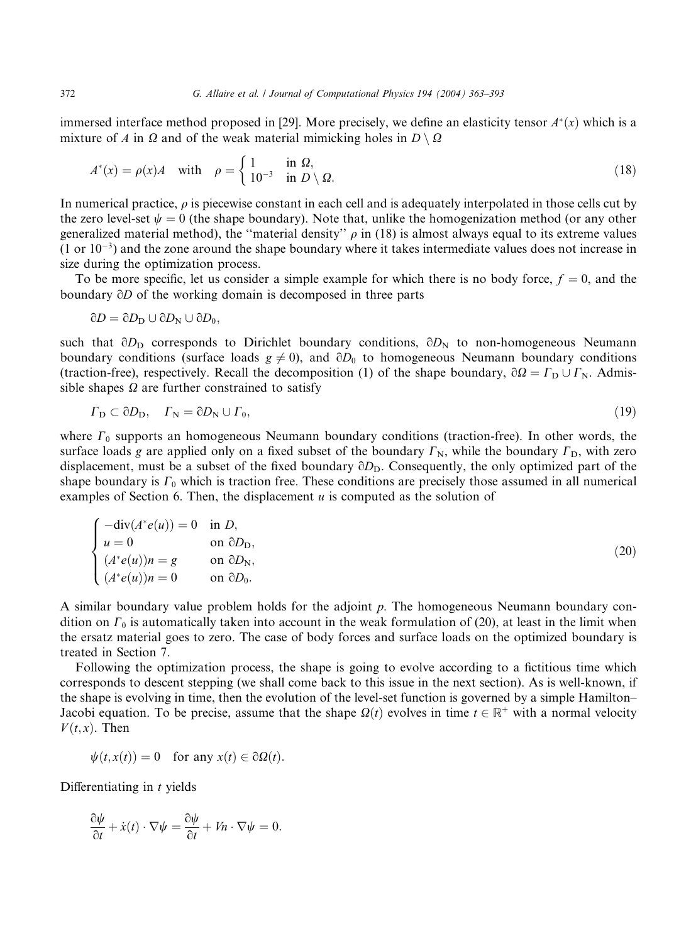immersed interface method proposed in [29]. More precisely, we define an elasticity tensor  $A^*(x)$  which is a mixture of A in  $\Omega$  and of the weak material mimicking holes in  $D \setminus \Omega$ 

$$
A^*(x) = \rho(x)A \quad \text{with} \quad \rho = \begin{cases} 1 & \text{in } \Omega, \\ 10^{-3} & \text{in } D \setminus \Omega. \end{cases} \tag{18}
$$

In numerical practice,  $\rho$  is piecewise constant in each cell and is adequately interpolated in those cells cut by the zero level-set  $\psi = 0$  (the shape boundary). Note that, unlike the homogenization method (or any other generalized material method), the "material density"  $\rho$  in (18) is almost always equal to its extreme values  $(1 \text{ or } 10^{-3})$  and the zone around the shape boundary where it takes intermediate values does not increase in size during the optimization process.

To be more specific, let us consider a simple example for which there is no body force,  $f = 0$ , and the boundary  $\partial D$  of the working domain is decomposed in three parts

$$
\partial D = \partial D_{\rm D} \cup \partial D_{\rm N} \cup \partial D_0,
$$

such that  $\partial D_{\rm D}$  corresponds to Dirichlet boundary conditions,  $\partial D_{\rm N}$  to non-homogeneous Neumann boundary conditions (surface loads  $g \neq 0$ ), and  $\partial D_0$  to homogeneous Neumann boundary conditions (traction-free), respectively. Recall the decomposition (1) of the shape boundary,  $\partial \Omega = \Gamma_D \cup \Gamma_N$ . Admissible shapes  $\Omega$  are further constrained to satisfy

$$
\Gamma_{\rm D} \subset \partial D_{\rm D}, \quad \Gamma_{\rm N} = \partial D_{\rm N} \cup \Gamma_0,\tag{19}
$$

where  $\Gamma_0$  supports an homogeneous Neumann boundary conditions (traction-free). In other words, the surface loads g are applied only on a fixed subset of the boundary  $\Gamma_N$ , while the boundary  $\Gamma_D$ , with zero displacement, must be a subset of the fixed boundary  $\partial D_{D}$ . Consequently, the only optimized part of the shape boundary is  $\Gamma_0$  which is traction free. These conditions are precisely those assumed in all numerical examples of Section 6. Then, the displacement  $u$  is computed as the solution of

$$
\begin{cases}\n-\text{div}(A^*e(u)) = 0 & \text{in } D, \\
u = 0 & \text{on } \partial D_D, \\
(A^*e(u))n = g & \text{on } \partial D_N, \\
(A^*e(u))n = 0 & \text{on } \partial D_0.\n\end{cases}
$$
\n(20)

A similar boundary value problem holds for the adjoint  $p$ . The homogeneous Neumann boundary condition on  $\Gamma_0$  is automatically taken into account in the weak formulation of (20), at least in the limit when the ersatz material goes to zero. The case of body forces and surface loads on the optimized boundary is treated in Section 7.

Following the optimization process, the shape is going to evolve according to a fictitious time which corresponds to descent stepping (we shall come back to this issue in the next section). As is well-known, if the shape is evolving in time, then the evolution of the level-set function is governed by a simple Hamilton– Jacobi equation. To be precise, assume that the shape  $\Omega(t)$  evolves in time  $t \in \mathbb{R}^+$  with a normal velocity  $V(t, x)$ . Then

$$
\psi(t, x(t)) = 0 \quad \text{for any } x(t) \in \partial \Omega(t).
$$

Differentiating in  $t$  yields

$$
\frac{\partial \psi}{\partial t} + \dot{x}(t) \cdot \nabla \psi = \frac{\partial \psi}{\partial t} + Vn \cdot \nabla \psi = 0.
$$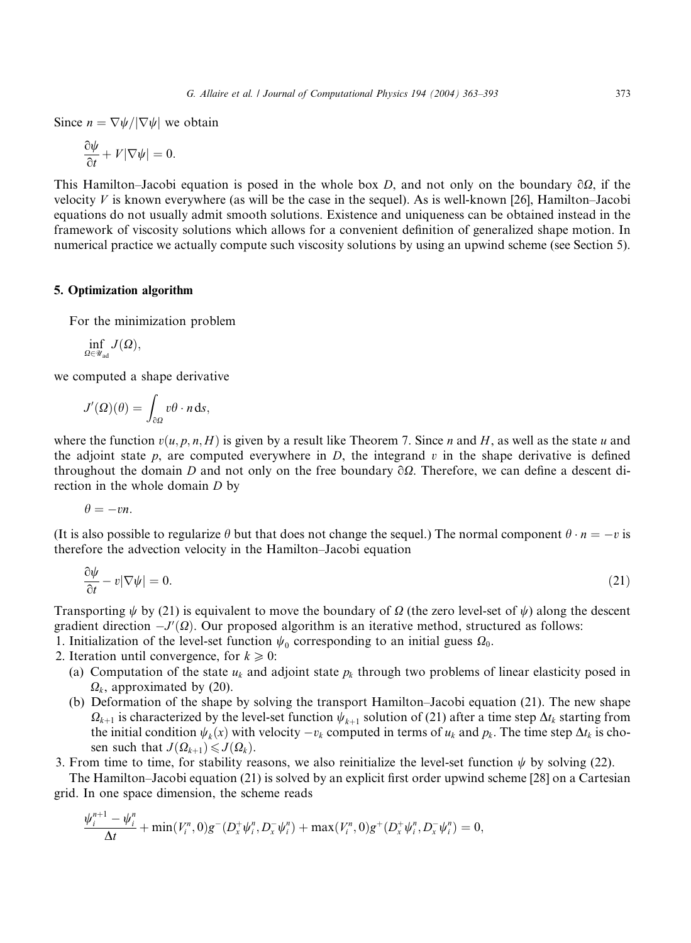Since  $n = \nabla \psi / |\nabla \psi|$  we obtain

$$
\frac{\partial \psi}{\partial t} + V|\nabla \psi| = 0.
$$

This Hamilton–Jacobi equation is posed in the whole box D, and not only on the boundary  $\partial\Omega$ , if the velocity  $V$  is known everywhere (as will be the case in the sequel). As is well-known [26], Hamilton–Jacobi equations do not usually admit smooth solutions. Existence and uniqueness can be obtained instead in the framework of viscosity solutions which allows for a convenient definition of generalized shape motion. In numerical practice we actually compute such viscosity solutions by using an upwind scheme (see Section 5).

# 5. Optimization algorithm

For the minimization problem

$$
\inf_{\varOmega\in\mathscr{U}_{\text{ad}}}J(\varOmega),
$$

we computed a shape derivative

$$
J'(\Omega)(\theta) = \int_{\partial\Omega} v\theta \cdot n \, \mathrm{d}s,
$$

where the function  $v(u, p, n, H)$  is given by a result like Theorem 7. Since n and H, as well as the state u and the adjoint state p, are computed everywhere in D, the integrand  $v$  in the shape derivative is defined throughout the domain D and not only on the free boundary  $\partial\Omega$ . Therefore, we can define a descent direction in the whole domain D by

$$
\theta=-v\mathbf{n}.
$$

(It is also possible to regularize  $\theta$  but that does not change the sequel.) The normal component  $\theta \cdot n = -v$  is therefore the advection velocity in the Hamilton–Jacobi equation

$$
\frac{\partial \psi}{\partial t} - v|\nabla \psi| = 0. \tag{21}
$$

Transporting  $\psi$  by (21) is equivalent to move the boundary of  $\Omega$  (the zero level-set of  $\psi$ ) along the descent gradient direction  $-J'(\Omega)$ . Our proposed algorithm is an iterative method, structured as follows:

- 1. Initialization of the level-set function  $\psi_0$  corresponding to an initial guess  $\Omega_0$ .
- 2. Iteration until convergence, for  $k \geq 0$ :
	- (a) Computation of the state  $u_k$  and adjoint state  $p_k$  through two problems of linear elasticity posed in  $\Omega_k$ , approximated by (20).
	- (b) Deformation of the shape by solving the transport Hamilton–Jacobi equation (21). The new shape  $\Omega_{k+1}$  is characterized by the level-set function  $\psi_{k+1}$  solution of (21) after a time step  $\Delta t_k$  starting from the initial condition  $\psi_k(x)$  with velocity  $-v_k$  computed in terms of  $u_k$  and  $p_k$ . The time step  $\Delta t_k$  is chosen such that  $J(\Omega_{k+1}) \leq J(\Omega_k)$ .

3. From time to time, for stability reasons, we also reinitialize the level-set function  $\psi$  by solving (22).

The Hamilton–Jacobi equation (21) is solved by an explicit first order upwind scheme [28] on a Cartesian grid. In one space dimension, the scheme reads

$$
\frac{\psi_i^{n+1} - \psi_i^n}{\Delta t} + \min(V_i^n, 0)g^-(D_x^+\psi_i^n, D_x^-\psi_i^n) + \max(V_i^n, 0)g^+(D_x^+\psi_i^n, D_x^-\psi_i^n) = 0,
$$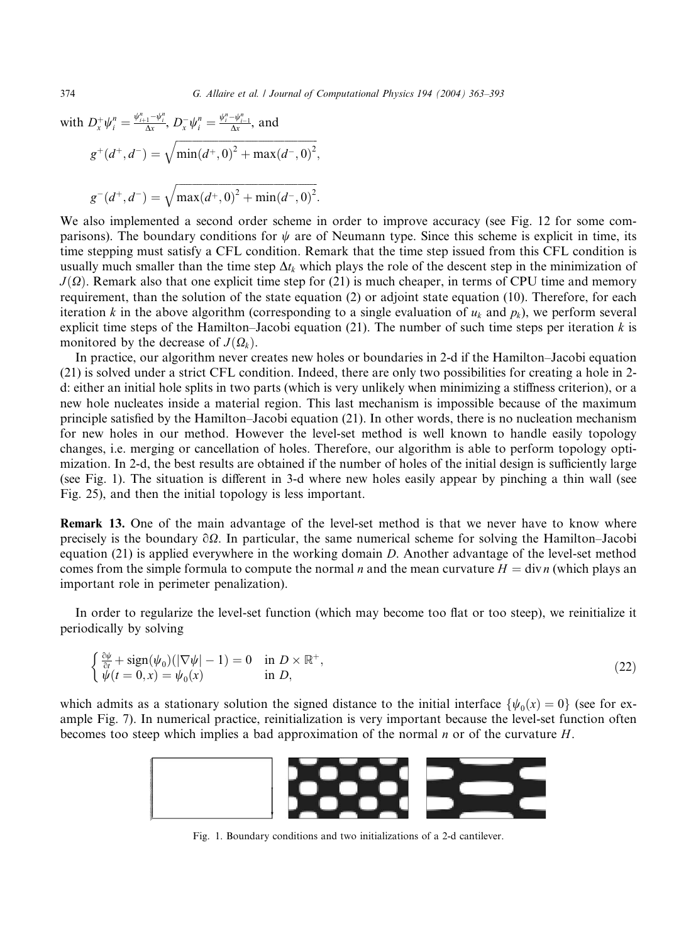with  $D_x^+ \psi_i^n = \frac{\psi_{i+1}^n - \psi_i^n}{\Delta x}, D_x^- \psi_i^n = \frac{\psi_i^n - \psi_{i-1}^n}{\Delta x}$ , and  $g^+(d^+,d^-) =$ ffiffiffiffiffiffiffiffiffiffiffiffiffiffiffiffiffiffiffiffiffiffiffiffiffiffiffiffiffiffiffiffiffiffiffiffiffiffiffiffiffiffiffiffiffiffiffiffiffiffiffiffiffi  $\sqrt{\min(d^+,0)^2 + \max(d^-,0)^2}$ ;  $g^-(d^+,d^-) =$ ffiffiffiffiffiffiffiffiffiffiffiffiffiffiffiffiffiffiffiffiffiffiffiffiffiffiffiffiffiffiffiffiffiffiffiffiffiffiffiffiffiffiffiffiffiffiffiffiffiffiffiffiffi  $\sqrt{\max(d^+,0)^2 + \min(d^-,0)^2}$ :

We also implemented a second order scheme in order to improve accuracy (see Fig. 12 for some comparisons). The boundary conditions for  $\psi$  are of Neumann type. Since this scheme is explicit in time, its time stepping must satisfy a CFL condition. Remark that the time step issued from this CFL condition is usually much smaller than the time step  $\Delta t_k$  which plays the role of the descent step in the minimization of  $J(\Omega)$ . Remark also that one explicit time step for (21) is much cheaper, in terms of CPU time and memory requirement, than the solution of the state equation (2) or adjoint state equation (10). Therefore, for each iteration k in the above algorithm (corresponding to a single evaluation of  $u_k$  and  $p_k$ ), we perform several explicit time steps of the Hamilton–Jacobi equation (21). The number of such time steps per iteration  $k$  is monitored by the decrease of  $J(\Omega_k)$ .

In practice, our algorithm never creates new holes or boundaries in 2-d if the Hamilton–Jacobi equation (21) is solved under a strict CFL condition. Indeed, there are only two possibilities for creating a hole in 2 d: either an initial hole splits in two parts (which is very unlikely when minimizing a stiffness criterion), or a new hole nucleates inside a material region. This last mechanism is impossible because of the maximum principle satisfied by the Hamilton–Jacobi equation (21). In other words, there is no nucleation mechanism for new holes in our method. However the level-set method is well known to handle easily topology changes, i.e. merging or cancellation of holes. Therefore, our algorithm is able to perform topology optimization. In 2-d, the best results are obtained if the number of holes of the initial design is sufficiently large (see Fig. 1). The situation is different in 3-d where new holes easily appear by pinching a thin wall (see Fig. 25), and then the initial topology is less important.

Remark 13. One of the main advantage of the level-set method is that we never have to know where precisely is the boundary  $\partial\Omega$ . In particular, the same numerical scheme for solving the Hamilton–Jacobi equation (21) is applied everywhere in the working domain D. Another advantage of the level-set method comes from the simple formula to compute the normal n and the mean curvature  $H = \text{div } n$  (which plays an important role in perimeter penalization).

In order to regularize the level-set function (which may become too flat or too steep), we reinitialize it periodically by solving

$$
\begin{cases} \frac{\partial \psi}{\partial t} + \text{sign}(\psi_0)(|\nabla \psi| - 1) = 0 & \text{in } D \times \mathbb{R}^+, \\ \psi(t = 0, x) = \psi_0(x) & \text{in } D, \end{cases}
$$
 (22)

which admits as a stationary solution the signed distance to the initial interface  $\{\psi_0(x) = 0\}$  (see for example Fig. 7). In numerical practice, reinitialization is very important because the level-set function often becomes too steep which implies a bad approximation of the normal n or of the curvature  $H$ .



Fig. 1. Boundary conditions and two initializations of a 2-d cantilever.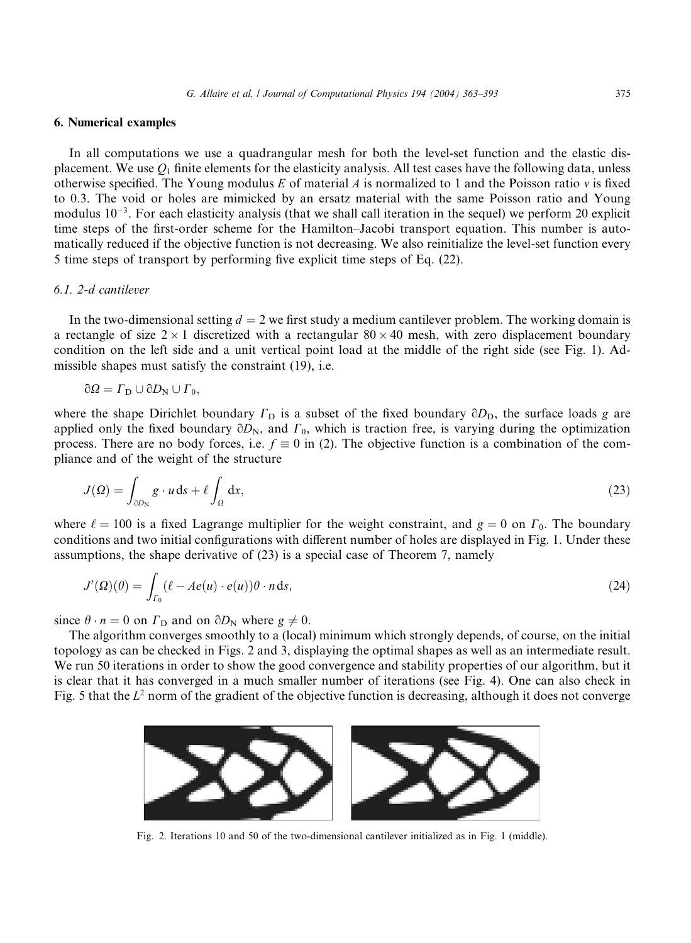# 6. Numerical examples

In all computations we use a quadrangular mesh for both the level-set function and the elastic displacement. We use  $Q_1$  finite elements for the elasticity analysis. All test cases have the following data, unless otherwise specified. The Young modulus E of material A is normalized to 1 and the Poisson ratio  $v$  is fixed to 0.3. The void or holes are mimicked by an ersatz material with the same Poisson ratio and Young modulus  $10^{-3}$ . For each elasticity analysis (that we shall call iteration in the sequel) we perform 20 explicit time steps of the first-order scheme for the Hamilton–Jacobi transport equation. This number is automatically reduced if the objective function is not decreasing. We also reinitialize the level-set function every 5 time steps of transport by performing five explicit time steps of Eq. (22).

# 6.1. 2-d cantilever

In the two-dimensional setting  $d = 2$  we first study a medium cantilever problem. The working domain is a rectangle of size  $2 \times 1$  discretized with a rectangular  $80 \times 40$  mesh, with zero displacement boundary condition on the left side and a unit vertical point load at the middle of the right side (see Fig. 1). Admissible shapes must satisfy the constraint (19), i.e.

$$
\partial\Omega = \Gamma_{\mathcal{D}} \cup \partial D_{\mathcal{N}} \cup \Gamma_0,
$$

where the shape Dirichlet boundary  $\Gamma_{\rm D}$  is a subset of the fixed boundary  $\partial D_{\rm D}$ , the surface loads g are applied only the fixed boundary  $\partial D_N$ , and  $\Gamma_0$ , which is traction free, is varying during the optimization process. There are no body forces, i.e.  $f \equiv 0$  in (2). The objective function is a combination of the compliance and of the weight of the structure

$$
J(\Omega) = \int_{\partial D_N} g \cdot u \, ds + \ell \int_{\Omega} dx,\tag{23}
$$

where  $\ell = 100$  is a fixed Lagrange multiplier for the weight constraint, and  $g = 0$  on  $\Gamma_0$ . The boundary conditions and two initial configurations with different number of holes are displayed in Fig. 1. Under these assumptions, the shape derivative of (23) is a special case of Theorem 7, namely

$$
J'(\Omega)(\theta) = \int_{\Gamma_0} (\ell - Ae(u) \cdot e(u))\theta \cdot n \, ds,
$$
\n(24)

since  $\theta \cdot n = 0$  on  $\Gamma_{\text{D}}$  and on  $\partial D_{\text{N}}$  where  $g \neq 0$ .

The algorithm converges smoothly to a (local) minimum which strongly depends, of course, on the initial topology as can be checked in Figs. 2 and 3, displaying the optimal shapes as well as an intermediate result. We run 50 iterations in order to show the good convergence and stability properties of our algorithm, but it is clear that it has converged in a much smaller number of iterations (see Fig. 4). One can also check in Fig. 5 that the  $L^2$  norm of the gradient of the objective function is decreasing, although it does not converge



Fig. 2. Iterations 10 and 50 of the two-dimensional cantilever initialized as in Fig. 1 (middle).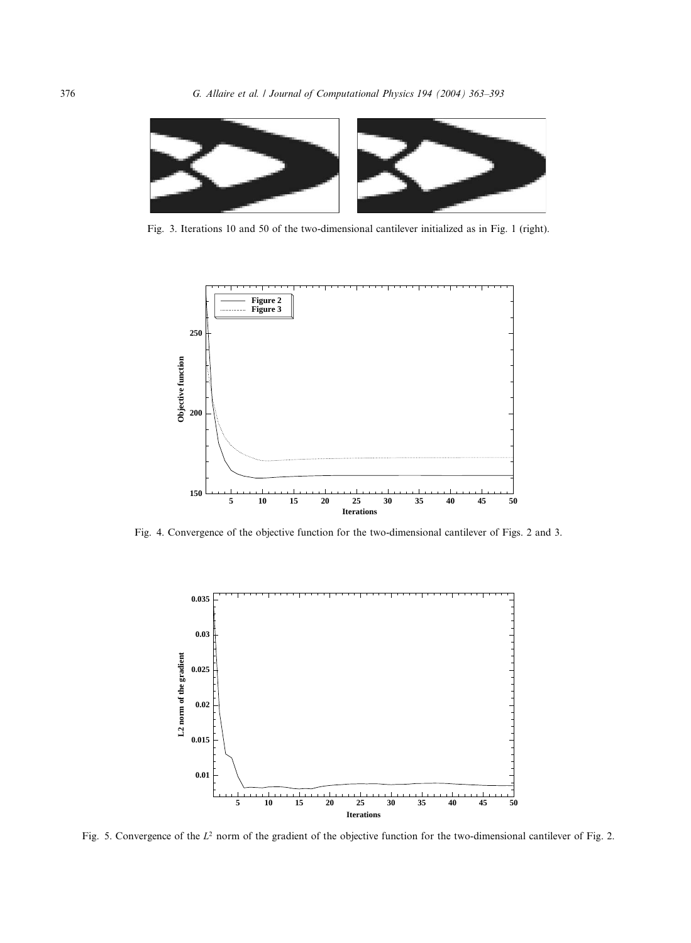

Fig. 3. Iterations 10 and 50 of the two-dimensional cantilever initialized as in Fig. 1 (right).



Fig. 4. Convergence of the objective function for the two-dimensional cantilever of Figs. 2 and 3.



Fig. 5. Convergence of the  $L^2$  norm of the gradient of the objective function for the two-dimensional cantilever of Fig. 2.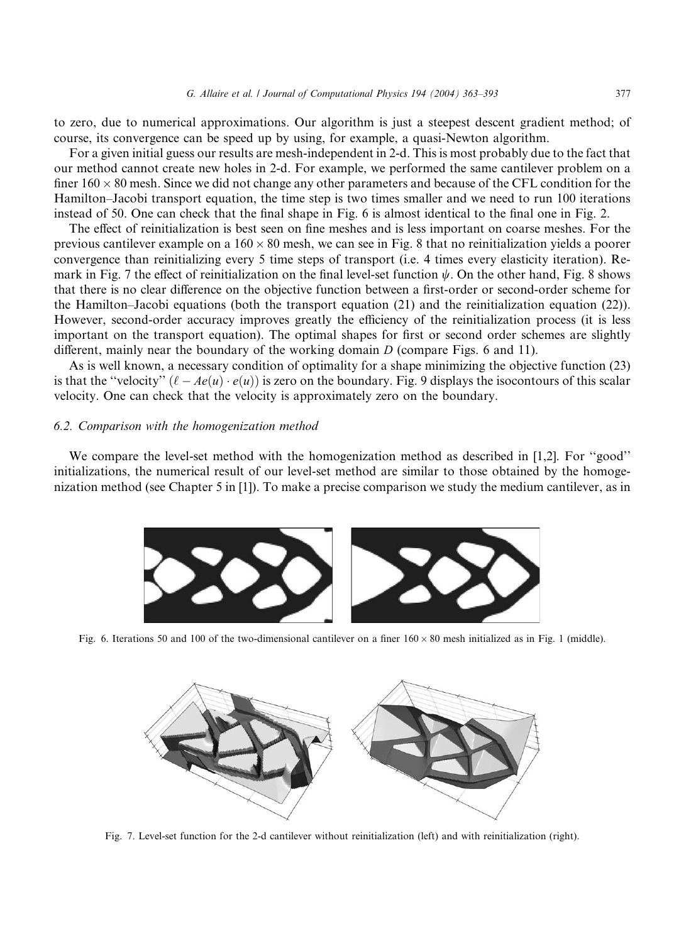to zero, due to numerical approximations. Our algorithm is just a steepest descent gradient method; of course, its convergence can be speed up by using, for example, a quasi-Newton algorithm.

For a given initial guess our results are mesh-independent in 2-d. This is most probably due to the fact that our method cannot create new holes in 2-d. For example, we performed the same cantilever problem on a finer  $160 \times 80$  mesh. Since we did not change any other parameters and because of the CFL condition for the Hamilton–Jacobi transport equation, the time step is two times smaller and we need to run 100 iterations instead of 50. One can check that the final shape in Fig. 6 is almost identical to the final one in Fig. 2.

The effect of reinitialization is best seen on fine meshes and is less important on coarse meshes. For the previous cantilever example on a  $160 \times 80$  mesh, we can see in Fig. 8 that no reinitialization yields a poorer convergence than reinitializing every 5 time steps of transport (i.e. 4 times every elasticity iteration). Remark in Fig. 7 the effect of reinitialization on the final level-set function  $\psi$ . On the other hand, Fig. 8 shows that there is no clear difference on the objective function between a first-order or second-order scheme for the Hamilton–Jacobi equations (both the transport equation (21) and the reinitialization equation (22)). However, second-order accuracy improves greatly the efficiency of the reinitialization process (it is less important on the transport equation). The optimal shapes for first or second order schemes are slightly different, mainly near the boundary of the working domain D (compare Figs. 6 and 11).

As is well known, a necessary condition of optimality for a shape minimizing the objective function (23) is that the "velocity"  $(\ell - Ae(u) \cdot e(u))$  is zero on the boundary. Fig. 9 displays the isocontours of this scalar velocity. One can check that the velocity is approximately zero on the boundary.

# 6.2. Comparison with the homogenization method

We compare the level-set method with the homogenization method as described in [1,2]. For "good" initializations, the numerical result of our level-set method are similar to those obtained by the homogenization method (see Chapter 5 in [1]). To make a precise comparison we study the medium cantilever, as in



Fig. 6. Iterations 50 and 100 of the two-dimensional cantilever on a finer  $160 \times 80$  mesh initialized as in Fig. 1 (middle).



Fig. 7. Level-set function for the 2-d cantilever without reinitialization (left) and with reinitialization (right).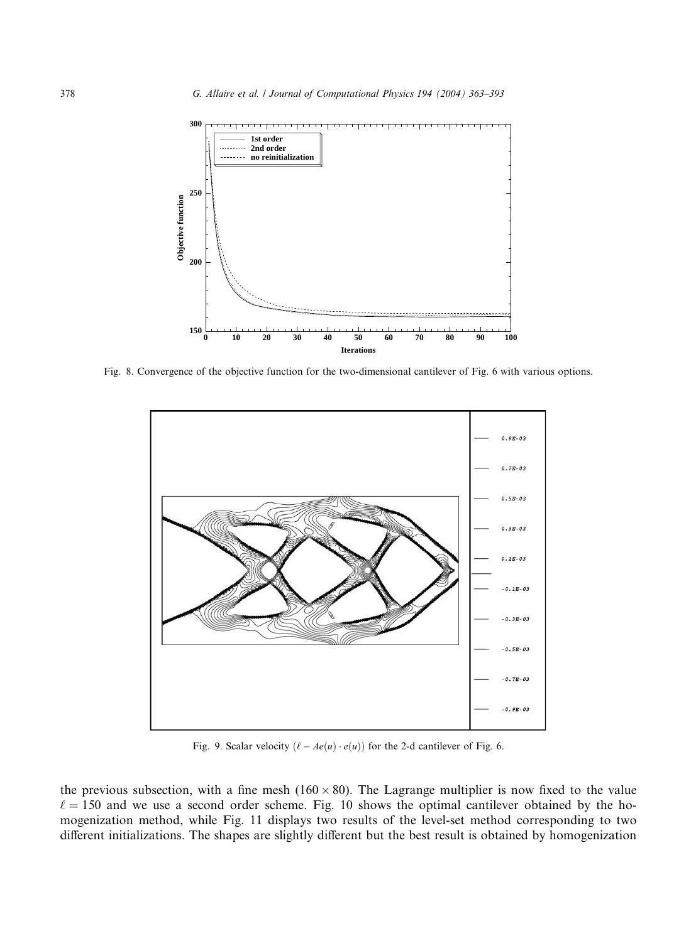

Fig. 8. Convergence of the objective function for the two-dimensional cantilever of Fig. 6 with various options.



Fig. 9. Scalar velocity  $(l - Ae(u) \cdot e(u))$  for the 2-d cantilever of Fig. 6.

the previous subsection, with a fine mesh  $(160 \times 80)$ . The Lagrange multiplier is now fixed to the value  $\ell = 150$  and we use a second order scheme. Fig. 10 shows the optimal cantilever obtained by the homogenization method, while Fig. 11 displays two results of the level-set method corresponding to two different initializations. The shapes are slightly different but the best result is obtained by homogenization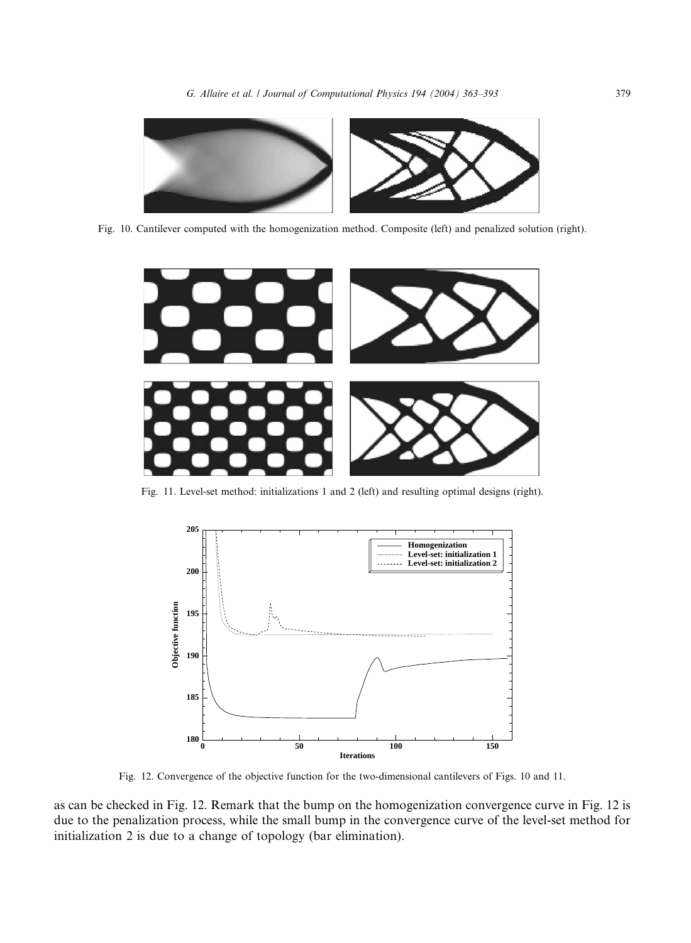

Fig. 10. Cantilever computed with the homogenization method. Composite (left) and penalized solution (right).



Fig. 11. Level-set method: initializations 1 and 2 (left) and resulting optimal designs (right).



Fig. 12. Convergence of the objective function for the two-dimensional cantilevers of Figs. 10 and 11.

as can be checked in Fig. 12. Remark that the bump on the homogenization convergence curve in Fig. 12 is due to the penalization process, while the small bump in the convergence curve of the level-set method for initialization 2 is due to a change of topology (bar elimination).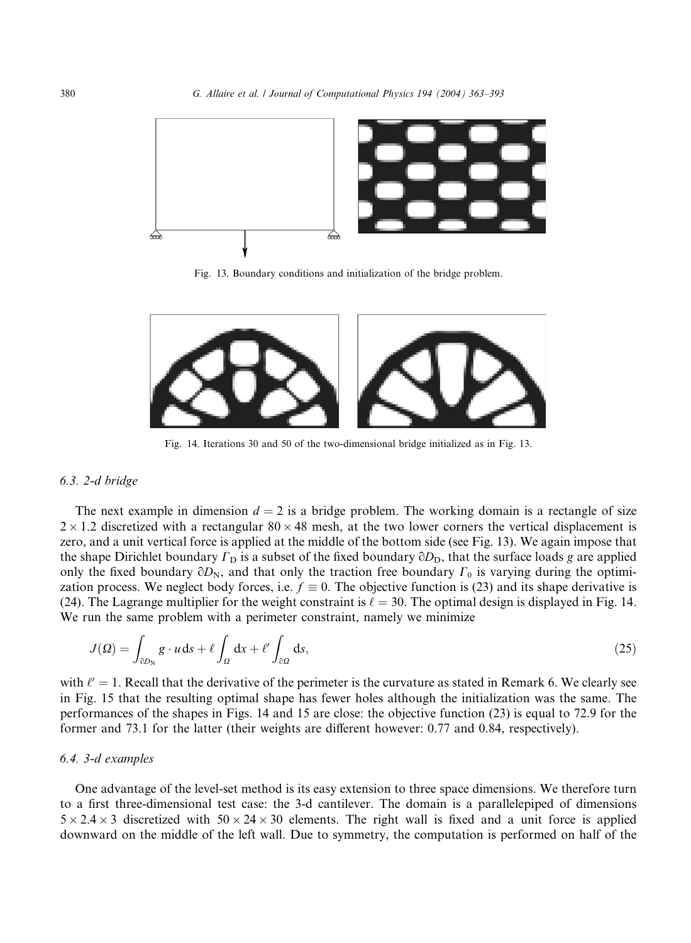

Fig. 13. Boundary conditions and initialization of the bridge problem.



Fig. 14. Iterations 30 and 50 of the two-dimensional bridge initialized as in Fig. 13.

#### 6.3. 2-d bridge

The next example in dimension  $d = 2$  is a bridge problem. The working domain is a rectangle of size  $2 \times 1.2$  discretized with a rectangular 80  $\times$  48 mesh, at the two lower corners the vertical displacement is zero, and a unit vertical force is applied at the middle of the bottom side (see Fig. 13). We again impose that the shape Dirichlet boundary  $\Gamma_D$  is a subset of the fixed boundary  $\partial D_D$ , that the surface loads g are applied only the fixed boundary  $\partial D_N$ , and that only the traction free boundary  $\Gamma_0$  is varying during the optimization process. We neglect body forces, i.e.  $f \equiv 0$ . The objective function is (23) and its shape derivative is (24). The Lagrange multiplier for the weight constraint is  $\ell = 30$ . The optimal design is displayed in Fig. 14. We run the same problem with a perimeter constraint, namely we minimize

$$
J(\Omega) = \int_{\partial D_N} g \cdot u \, ds + \ell \int_{\Omega} dx + \ell' \int_{\partial \Omega} ds,
$$
\n(25)

with  $l' = 1$ . Recall that the derivative of the perimeter is the curvature as stated in Remark 6. We clearly see in Fig. 15 that the resulting optimal shape has fewer holes although the initialization was the same. The performances of the shapes in Figs. 14 and 15 are close: the objective function (23) is equal to 72.9 for the former and 73.1 for the latter (their weights are different however: 0.77 and 0.84, respectively).

# 6.4. 3-d examples

One advantage of the level-set method is its easy extension to three space dimensions. We therefore turn to a first three-dimensional test case: the 3-d cantilever. The domain is a parallelepiped of dimensions  $5 \times 2.4 \times 3$  discretized with  $50 \times 24 \times 30$  elements. The right wall is fixed and a unit force is applied downward on the middle of the left wall. Due to symmetry, the computation is performed on half of the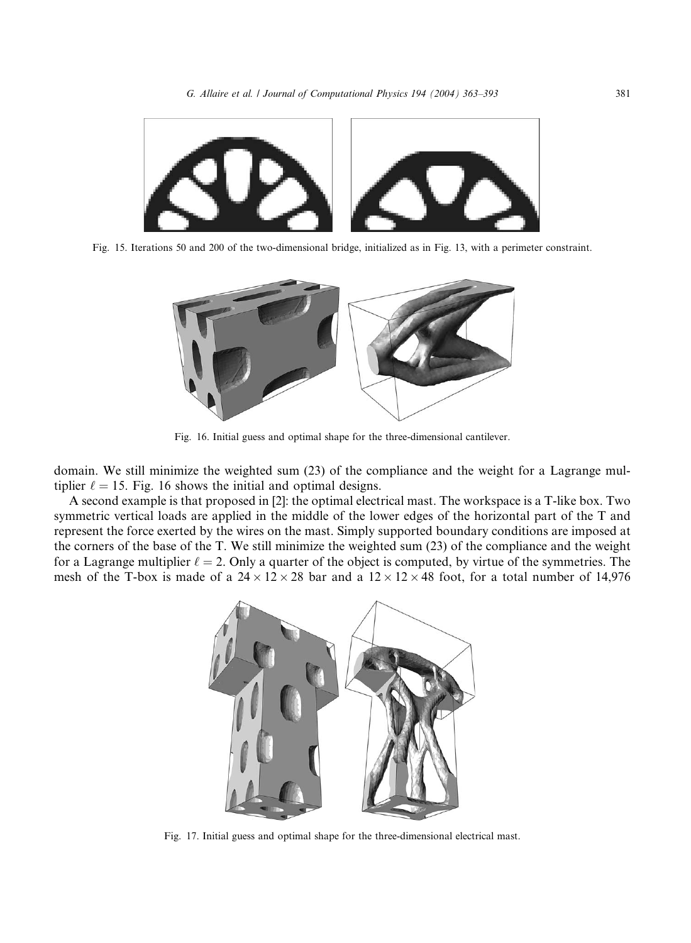

Fig. 15. Iterations 50 and 200 of the two-dimensional bridge, initialized as in Fig. 13, with a perimeter constraint.



Fig. 16. Initial guess and optimal shape for the three-dimensional cantilever.

domain. We still minimize the weighted sum (23) of the compliance and the weight for a Lagrange multiplier  $\ell = 15$ . Fig. 16 shows the initial and optimal designs.

A second example is that proposed in [2]: the optimal electrical mast. The workspace is a T-like box. Two symmetric vertical loads are applied in the middle of the lower edges of the horizontal part of the T and represent the force exerted by the wires on the mast. Simply supported boundary conditions are imposed at the corners of the base of the T. We still minimize the weighted sum (23) of the compliance and the weight for a Lagrange multiplier  $\ell = 2$ . Only a quarter of the object is computed, by virtue of the symmetries. The mesh of the T-box is made of a  $24 \times 12 \times 28$  bar and a  $12 \times 12 \times 48$  foot, for a total number of 14,976



Fig. 17. Initial guess and optimal shape for the three-dimensional electrical mast.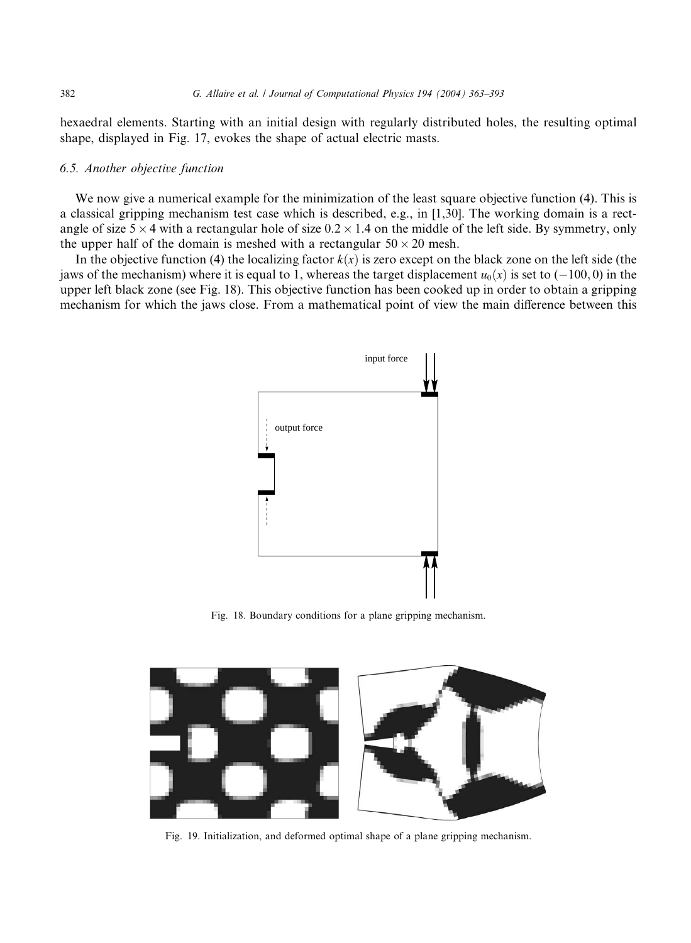hexaedral elements. Starting with an initial design with regularly distributed holes, the resulting optimal shape, displayed in Fig. 17, evokes the shape of actual electric masts.

# 6.5. Another objective function

We now give a numerical example for the minimization of the least square objective function (4). This is a classical gripping mechanism test case which is described, e.g., in [1,30]. The working domain is a rectangle of size  $5 \times 4$  with a rectangular hole of size  $0.2 \times 1.4$  on the middle of the left side. By symmetry, only the upper half of the domain is meshed with a rectangular  $50 \times 20$  mesh.

In the objective function (4) the localizing factor  $k(x)$  is zero except on the black zone on the left side (the jaws of the mechanism) where it is equal to 1, whereas the target displacement  $u_0(x)$  is set to  $(-100, 0)$  in the upper left black zone (see Fig. 18). This objective function has been cooked up in order to obtain a gripping mechanism for which the jaws close. From a mathematical point of view the main difference between this



Fig. 18. Boundary conditions for a plane gripping mechanism.



Fig. 19. Initialization, and deformed optimal shape of a plane gripping mechanism.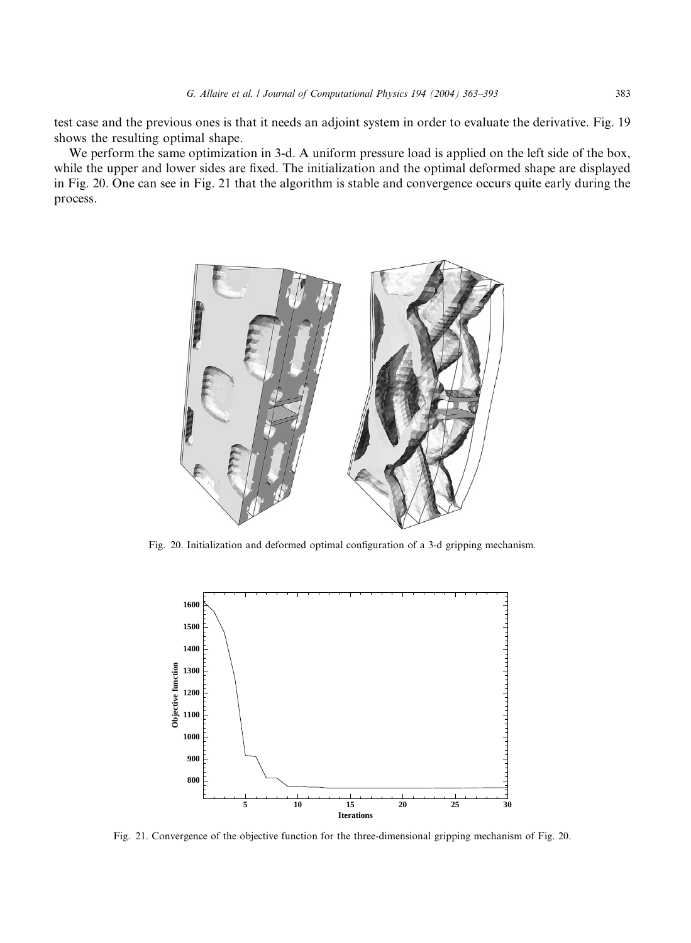test case and the previous ones is that it needs an adjoint system in order to evaluate the derivative. Fig. 19 shows the resulting optimal shape.

We perform the same optimization in 3-d. A uniform pressure load is applied on the left side of the box, while the upper and lower sides are fixed. The initialization and the optimal deformed shape are displayed in Fig. 20. One can see in Fig. 21 that the algorithm is stable and convergence occurs quite early during the process.



Fig. 20. Initialization and deformed optimal configuration of a 3-d gripping mechanism.



Fig. 21. Convergence of the objective function for the three-dimensional gripping mechanism of Fig. 20.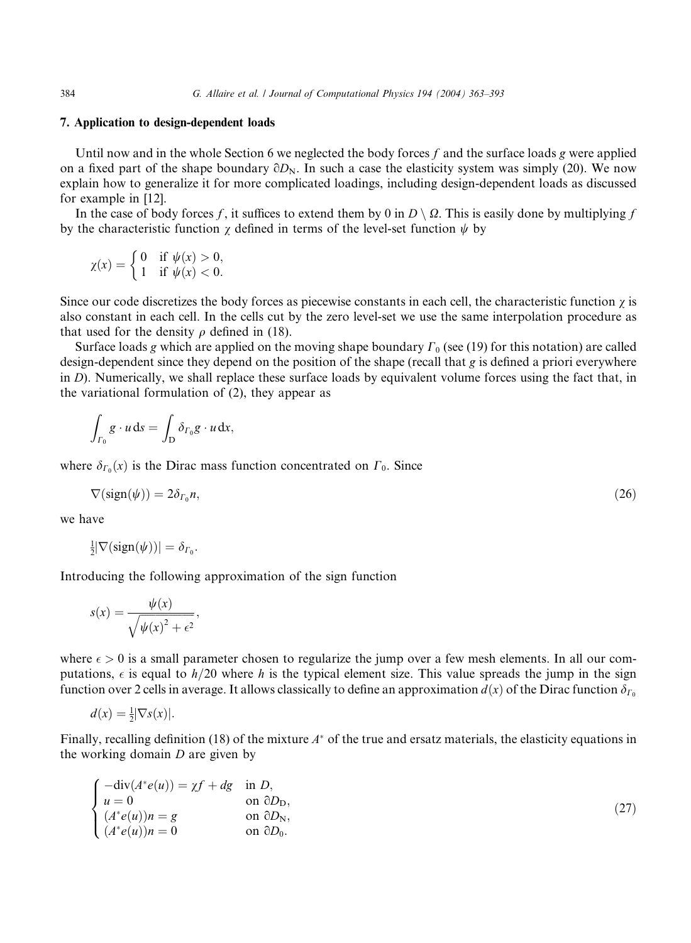# 7. Application to design-dependent loads

Until now and in the whole Section 6 we neglected the body forces f and the surface loads g were applied on a fixed part of the shape boundary  $\partial D_N$ . In such a case the elasticity system was simply (20). We now explain how to generalize it for more complicated loadings, including design-dependent loads as discussed for example in [12].

In the case of body forces f, it suffices to extend them by 0 in  $D \setminus \Omega$ . This is easily done by multiplying f by the characteristic function  $\gamma$  defined in terms of the level-set function  $\psi$  by

$$
\chi(x) = \begin{cases} 0 & \text{if } \psi(x) > 0, \\ 1 & \text{if } \psi(x) < 0. \end{cases}
$$

Since our code discretizes the body forces as piecewise constants in each cell, the characteristic function  $\gamma$  is also constant in each cell. In the cells cut by the zero level-set we use the same interpolation procedure as that used for the density  $\rho$  defined in (18).

Surface loads g which are applied on the moving shape boundary  $\Gamma_0$  (see (19) for this notation) are called design-dependent since they depend on the position of the shape (recall that g is defined a priori everywhere in D). Numerically, we shall replace these surface loads by equivalent volume forces using the fact that, in the variational formulation of (2), they appear as

$$
\int_{\Gamma_0} g \cdot u \, \mathrm{d} s = \int_{\mathcal{D}} \delta_{\Gamma_0} g \cdot u \, \mathrm{d} x,
$$

where  $\delta_{\Gamma_0}(x)$  is the Dirac mass function concentrated on  $\Gamma_0$ . Since

$$
\nabla(\text{sign}(\psi)) = 2\delta_{\Gamma_0} n,\tag{26}
$$

we have

$$
\frac{1}{2}|\nabla(\text{sign}(\psi))|=\delta_{\Gamma_0}.
$$

Introducing the following approximation of the sign function

$$
s(x) = \frac{\psi(x)}{\sqrt{\psi(x)^2 + \epsilon^2}},
$$

where  $\epsilon > 0$  is a small parameter chosen to regularize the jump over a few mesh elements. In all our computations,  $\epsilon$  is equal to  $h/20$  where h is the typical element size. This value spreads the jump in the sign function over 2 cells in average. It allows classically to define an approximation  $d(x)$  of the Dirac function  $\delta_{\Gamma_0}$ 

$$
d(x) = \frac{1}{2} |\nabla s(x)|.
$$

Finally, recalling definition (18) of the mixture  $A^*$  of the true and ersatz materials, the elasticity equations in the working domain  $D$  are given by

$$
\begin{cases}\n-\text{div}(A^*e(u)) = \chi f + dg & \text{in } D, \\
u = 0 & \text{on } \partial D_D, \\
(A^*e(u))n = g & \text{on } \partial D_N, \\
(A^*e(u))n = 0 & \text{on } \partial D_0.\n\end{cases}
$$
\n(27)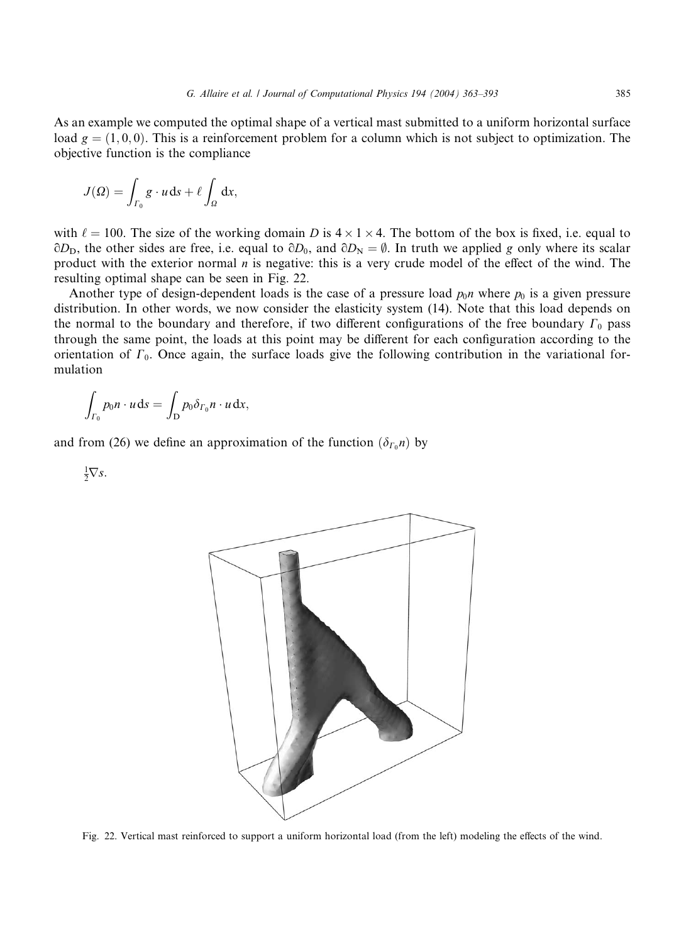As an example we computed the optimal shape of a vertical mast submitted to a uniform horizontal surface load  $g = (1, 0, 0)$ . This is a reinforcement problem for a column which is not subject to optimization. The objective function is the compliance

$$
J(\Omega) = \int_{\Gamma_0} g \cdot u \, \mathrm{d} s + \ell \int_{\Omega} \mathrm{d} x,
$$

with  $\ell = 100$ . The size of the working domain D is  $4 \times 1 \times 4$ . The bottom of the box is fixed, i.e. equal to  $\partial D_{\rm D}$ , the other sides are free, i.e. equal to  $\partial D_0$ , and  $\partial D_{\rm N} = \emptyset$ . In truth we applied g only where its scalar product with the exterior normal  $n$  is negative: this is a very crude model of the effect of the wind. The resulting optimal shape can be seen in Fig. 22.

Another type of design-dependent loads is the case of a pressure load  $p_0n$  where  $p_0$  is a given pressure distribution. In other words, we now consider the elasticity system (14). Note that this load depends on the normal to the boundary and therefore, if two different configurations of the free boundary  $\Gamma_0$  pass through the same point, the loads at this point may be different for each configuration according to the orientation of  $\Gamma_0$ . Once again, the surface loads give the following contribution in the variational formulation

$$
\int_{\Gamma_0} p_0 n \cdot u \, \mathrm{d} s = \int_{\mathcal{D}} p_0 \delta_{\Gamma_0} n \cdot u \, \mathrm{d} x,
$$

and from (26) we define an approximation of the function  $(\delta_{\Gamma_0} n)$  by

 $\frac{1}{2}\nabla s.$ 



Fig. 22. Vertical mast reinforced to support a uniform horizontal load (from the left) modeling the effects of the wind.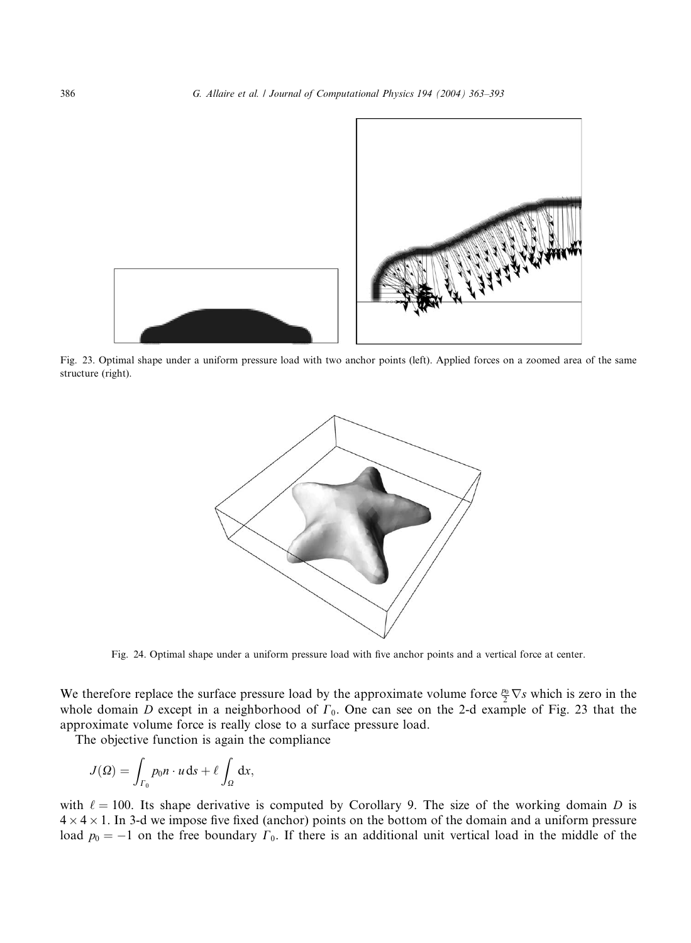

Fig. 23. Optimal shape under a uniform pressure load with two anchor points (left). Applied forces on a zoomed area of the same structure (right).



Fig. 24. Optimal shape under a uniform pressure load with five anchor points and a vertical force at center.

We therefore replace the surface pressure load by the approximate volume force  $\frac{p_0}{2} \nabla s$  which is zero in the whole domain D except in a neighborhood of  $\Gamma_0$ . One can see on the 2-d example of Fig. 23 that the approximate volume force is really close to a surface pressure load.

The objective function is again the compliance

$$
J(\Omega) = \int_{\Gamma_0} p_0 n \cdot u \, ds + \ell \int_{\Omega} dx,
$$

with  $\ell = 100$ . Its shape derivative is computed by Corollary 9. The size of the working domain D is  $4 \times 4 \times 1$ . In 3-d we impose five fixed (anchor) points on the bottom of the domain and a uniform pressure load  $p_0 = -1$  on the free boundary  $\Gamma_0$ . If there is an additional unit vertical load in the middle of the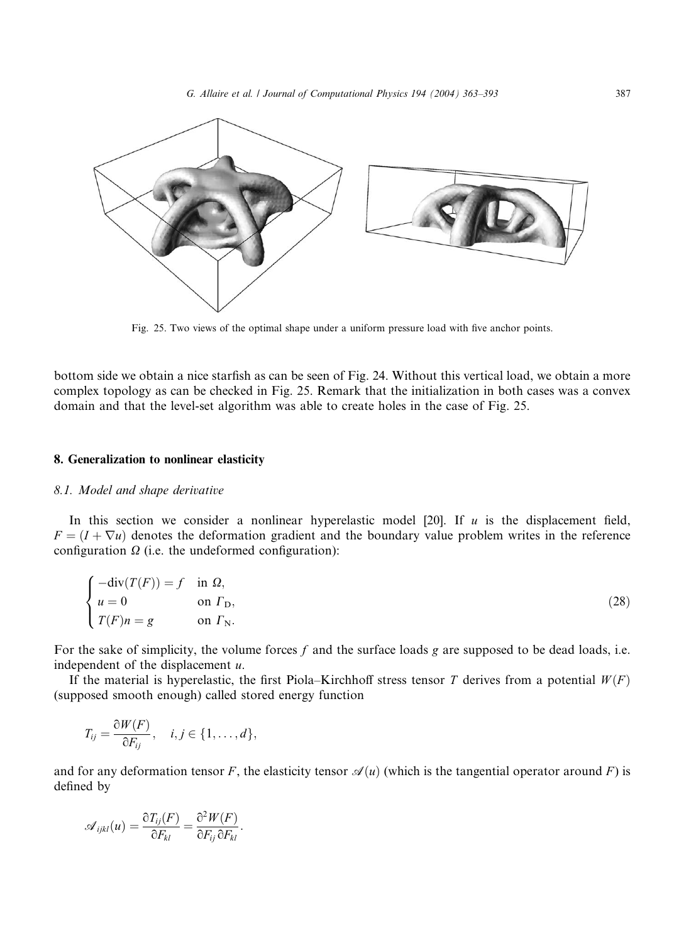

Fig. 25. Two views of the optimal shape under a uniform pressure load with five anchor points.

bottom side we obtain a nice starfish as can be seen of Fig. 24. Without this vertical load, we obtain a more complex topology as can be checked in Fig. 25. Remark that the initialization in both cases was a convex domain and that the level-set algorithm was able to create holes in the case of Fig. 25.

#### 8. Generalization to nonlinear elasticity

#### 8.1. Model and shape derivative

In this section we consider a nonlinear hyperelastic model [20]. If  $u$  is the displacement field,  $F = (I + \nabla u)$  denotes the deformation gradient and the boundary value problem writes in the reference configuration  $\Omega$  (i.e. the undeformed configuration):

$$
\begin{cases}\n-\text{div}(T(F)) = f & \text{in } \Omega, \\
u = 0 & \text{on } \Gamma_{\text{D}}, \\
T(F)n = g & \text{on } \Gamma_{\text{N}}.\n\end{cases}
$$
\n(28)

For the sake of simplicity, the volume forces f and the surface loads g are supposed to be dead loads, i.e. independent of the displacement  $u$ .

If the material is hyperelastic, the first Piola–Kirchhoff stress tensor T derives from a potential  $W(F)$ (supposed smooth enough) called stored energy function

$$
T_{ij} = \frac{\partial W(F)}{\partial F_{ij}}, \quad i, j \in \{1, \ldots, d\},\
$$

and for any deformation tensor F, the elasticity tensor  $\mathcal{A}(u)$  (which is the tangential operator around F) is defined by

$$
\mathscr{A}_{ijkl}(u) = \frac{\partial T_{ij}(F)}{\partial F_{kl}} = \frac{\partial^2 W(F)}{\partial F_{ij} \partial F_{kl}}.
$$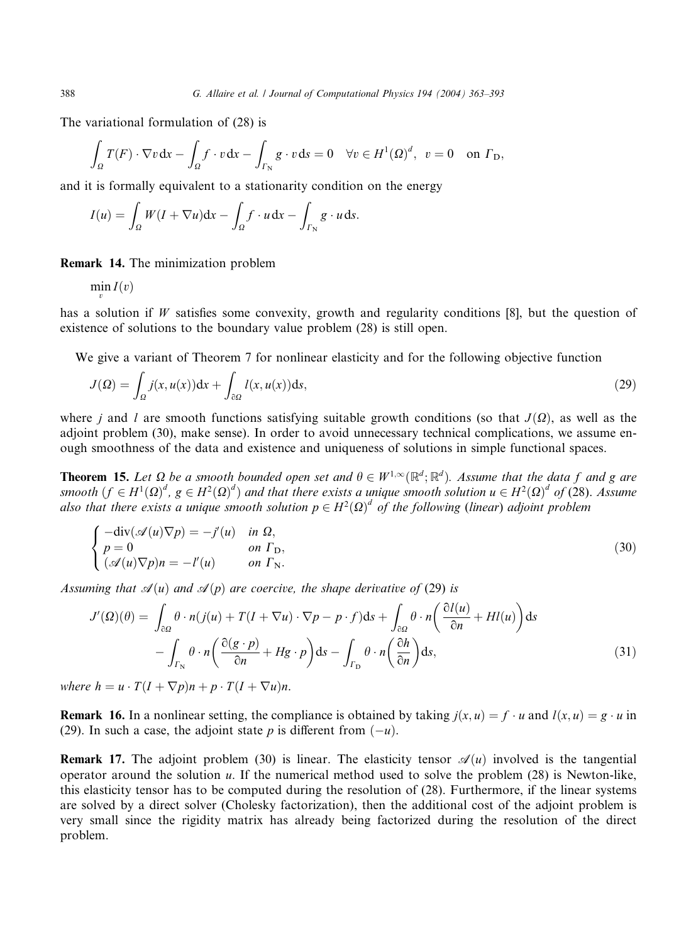The variational formulation of (28) is

$$
\int_{\Omega} T(F) \cdot \nabla v \, dx - \int_{\Omega} f \cdot v \, dx - \int_{\Gamma_{\mathcal{N}}} g \cdot v \, ds = 0 \quad \forall v \in H^{1}(\Omega)^{d}, \ v = 0 \quad \text{on } \Gamma_{\mathcal{D}},
$$

and it is formally equivalent to a stationarity condition on the energy

$$
I(u) = \int_{\Omega} W(I + \nabla u) dx - \int_{\Omega} f \cdot u dx - \int_{\Gamma_{\rm N}} g \cdot u ds.
$$

Remark 14. The minimization problem

 $\min I(v)$ 

has a solution if W satisfies some convexity, growth and regularity conditions  $[8]$ , but the question of existence of solutions to the boundary value problem (28) is still open.

We give a variant of Theorem 7 for nonlinear elasticity and for the following objective function

$$
J(\Omega) = \int_{\Omega} j(x, u(x)) \mathrm{d}x + \int_{\partial \Omega} l(x, u(x)) \mathrm{d}s,\tag{29}
$$

where *j* and *l* are smooth functions satisfying suitable growth conditions (so that  $J(\Omega)$ , as well as the adjoint problem (30), make sense). In order to avoid unnecessary technical complications, we assume enough smoothness of the data and existence and uniqueness of solutions in simple functional spaces.

**Theorem 15.** Let  $\Omega$  be a smooth bounded open set and  $\theta \in W^{1,\infty}(\mathbb{R}^d;\mathbb{R}^d)$ . Assume that the data f and g are smooth  $(f \in H^1(\Omega)^d$ ,  $g \in H^2(\Omega)^d$ ) and that there exists a unique smooth solution  $u \in H^2(\Omega)^d$  of (28). Assume also that there exists a unique smooth solution  $p \in H^2(\Omega)^d$  of the following (linear) adjoint problem

$$
\begin{cases}\n-\text{div}(\mathscr{A}(u)\nabla p) = -j'(u) & \text{in } \Omega, \\
p = 0 & \text{on } \Gamma_{\text{D}}, \\
(\mathscr{A}(u)\nabla p)n = -l'(u) & \text{on } \Gamma_{\text{N}}.\n\end{cases}
$$
\n(30)

Assuming that  $\mathcal{A}(u)$  and  $\mathcal{A}(p)$  are coercive, the shape derivative of (29) is

$$
J'(\Omega)(\theta) = \int_{\partial\Omega} \theta \cdot n(j(u) + T(I + \nabla u) \cdot \nabla p - p \cdot f) ds + \int_{\partial\Omega} \theta \cdot n \left( \frac{\partial l(u)}{\partial n} + Hl(u) \right) ds - \int_{\Gamma_N} \theta \cdot n \left( \frac{\partial (g \cdot p)}{\partial n} + Hg \cdot p \right) ds - \int_{\Gamma_D} \theta \cdot n \left( \frac{\partial h}{\partial n} \right) ds,
$$
(31)

where  $h = u \cdot T(I + \nabla p)n + p \cdot T(I + \nabla u)n$ .

**Remark 16.** In a nonlinear setting, the compliance is obtained by taking  $j(x, u) = f \cdot u$  and  $l(x, u) = g \cdot u$  in (29). In such a case, the adjoint state p is different from  $(-u)$ .

**Remark 17.** The adjoint problem (30) is linear. The elasticity tensor  $\mathcal{A}(u)$  involved is the tangential operator around the solution  $u$ . If the numerical method used to solve the problem  $(28)$  is Newton-like, this elasticity tensor has to be computed during the resolution of (28). Furthermore, if the linear systems are solved by a direct solver (Cholesky factorization), then the additional cost of the adjoint problem is very small since the rigidity matrix has already being factorized during the resolution of the direct problem.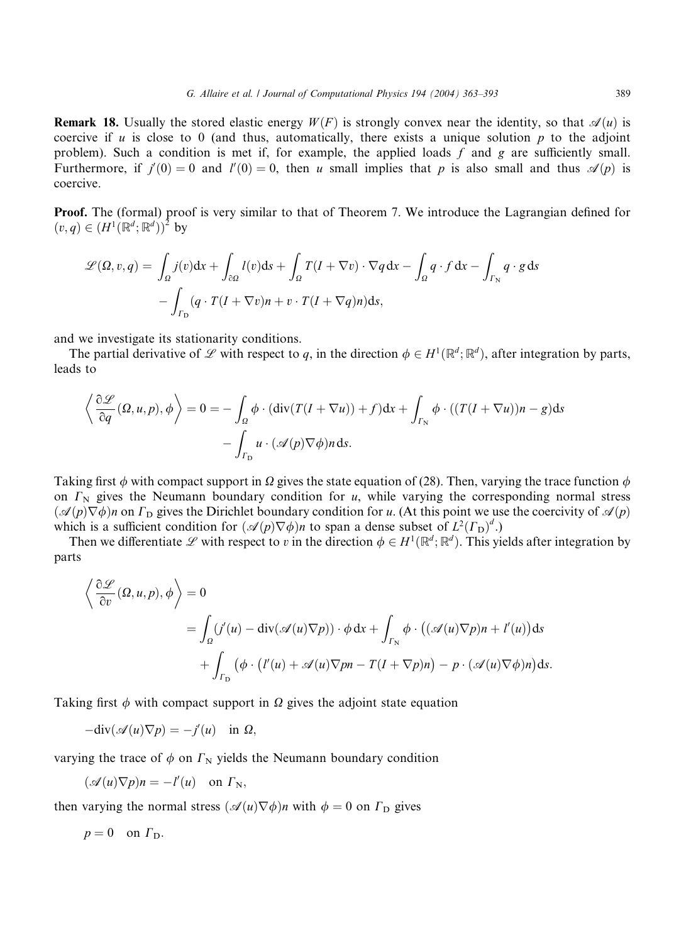**Remark 18.** Usually the stored elastic energy  $W(F)$  is strongly convex near the identity, so that  $\mathcal{A}(u)$  is coercive if u is close to 0 (and thus, automatically, there exists a unique solution  $p$  to the adjoint problem). Such a condition is met if, for example, the applied loads f and g are sufficiently small. Furthermore, if  $j'(0) = 0$  and  $l'(0) = 0$ , then u small implies that p is also small and thus  $\mathcal{A}(p)$  is coercive.

Proof. The (formal) proof is very similar to that of Theorem 7. We introduce the Lagrangian defined for  $(v,q) \in (H^1(\mathbb{R}^d;\mathbb{R}^d))^{\Sigma}$  by

$$
\mathcal{L}(\Omega, v, q) = \int_{\Omega} j(v) dx + \int_{\partial \Omega} l(v) ds + \int_{\Omega} T(I + \nabla v) \cdot \nabla q dx - \int_{\Omega} q \cdot f dx - \int_{\Gamma_{\mathcal{N}}} q \cdot g ds
$$

$$
- \int_{\Gamma_{\mathcal{D}}} (q \cdot T(I + \nabla v)n + v \cdot T(I + \nabla q)n) ds,
$$

and we investigate its stationarity conditions.

The partial derivative of  $\mathscr L$  with respect to q, in the direction  $\phi \in H^1(\mathbb R^d;\mathbb R^d)$ , after integration by parts, leads to

$$
\left\langle \frac{\partial \mathcal{L}}{\partial q}(\Omega, u, p), \phi \right\rangle = 0 = -\int_{\Omega} \phi \cdot (\text{div}(T(I + \nabla u)) + f) dx + \int_{\Gamma_{\mathcal{N}}} \phi \cdot ((T(I + \nabla u))n - g) ds - \int_{\Gamma_{\mathcal{D}}} u \cdot (\mathcal{A}(p)\nabla\phi)n ds.
$$

Taking first  $\phi$  with compact support in  $\Omega$  gives the state equation of (28). Then, varying the trace function  $\phi$ on  $\Gamma_N$  gives the Neumann boundary condition for u, while varying the corresponding normal stress  $(\mathcal{A}(p)\nabla\phi)n$  on  $\Gamma_D$  gives the Dirichlet boundary condition for u. (At this point we use the coercivity of  $\mathcal{A}(p)$ which is a sufficient condition for  $(\mathcal{A}(p)\nabla\phi)n$  to span a dense subset of  $L^2(\Gamma_D)^d$ .)

Then we differentiate  $\mathscr L$  with respect to v in the direction  $\phi \in H^1(\mathbb R^d;\mathbb R^d)$ . This yields after integration by parts

$$
\left\langle \frac{\partial \mathcal{L}}{\partial v}(\Omega, u, p), \phi \right\rangle = 0
$$
  
=  $\int_{\Omega} (j'(u) - \text{div}(\mathcal{A}(u)\nabla p)) \cdot \phi \,dx + \int_{\Gamma_N} \phi \cdot ((\mathcal{A}(u)\nabla p)n + l'(u)) ds$   
+  $\int_{\Gamma_D} (\phi \cdot (l'(u) + \mathcal{A}(u)\nabla pn - T(I + \nabla p)n) - p \cdot (\mathcal{A}(u)\nabla \phi)n) ds.$ 

Taking first  $\phi$  with compact support in  $\Omega$  gives the adjoint state equation

$$
-div(\mathscr{A}(u)\nabla p) = -j'(u) \text{ in } \Omega,
$$

varying the trace of  $\phi$  on  $\Gamma_N$  yields the Neumann boundary condition

$$
(\mathscr{A}(u)\nabla p)n = -l'(u) \quad \text{on } \Gamma_N,
$$

then varying the normal stress  $\left(\mathcal{A}(u)\nabla\phi\right)n$  with  $\phi = 0$  on  $\Gamma_{\text{D}}$  gives

$$
p=0 \quad \text{on } \Gamma_{\mathcal{D}}.
$$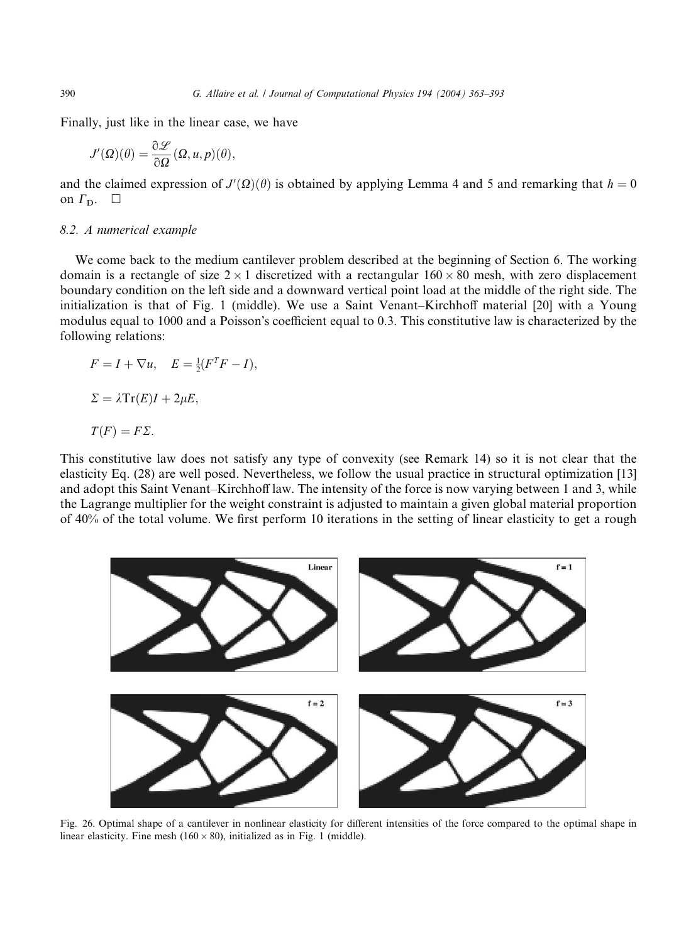Finally, just like in the linear case, we have

$$
J'(\Omega)(\theta) = \frac{\partial \mathcal{L}}{\partial \Omega}(\Omega, u, p)(\theta),
$$

and the claimed expression of  $J'(\Omega)(\theta)$  is obtained by applying Lemma 4 and 5 and remarking that  $h = 0$ on  $\Gamma_{\text{D}}$ .  $\Box$ 

# 8.2. A numerical example

We come back to the medium cantilever problem described at the beginning of Section 6. The working domain is a rectangle of size  $2 \times 1$  discretized with a rectangular  $160 \times 80$  mesh, with zero displacement boundary condition on the left side and a downward vertical point load at the middle of the right side. The initialization is that of Fig. 1 (middle). We use a Saint Venant–Kirchhoff material [20] with a Young modulus equal to 1000 and a Poisson's coefficient equal to 0.3. This constitutive law is characterized by the following relations:

$$
F = I + \nabla u, \quad E = \frac{1}{2}(F^T F - I),
$$

 $\Sigma = \lambda Tr(E)I + 2\mu E,$ 

$$
T(F) = F\Sigma.
$$

This constitutive law does not satisfy any type of convexity (see Remark 14) so it is not clear that the elasticity Eq. (28) are well posed. Nevertheless, we follow the usual practice in structural optimization [13] and adopt this Saint Venant–Kirchhoff law. The intensity of the force is now varying between 1 and 3, while the Lagrange multiplier for the weight constraint is adjusted to maintain a given global material proportion of 40% of the total volume. We first perform 10 iterations in the setting of linear elasticity to get a rough



Fig. 26. Optimal shape of a cantilever in nonlinear elasticity for different intensities of the force compared to the optimal shape in linear elasticity. Fine mesh (160  $\times$  80), initialized as in Fig. 1 (middle).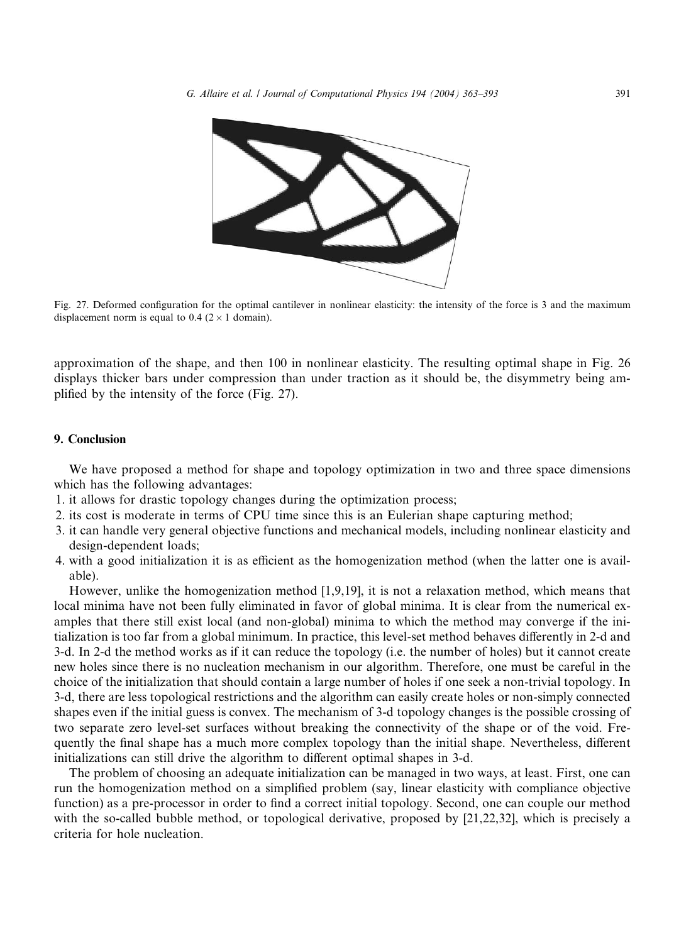

Fig. 27. Deformed configuration for the optimal cantilever in nonlinear elasticity: the intensity of the force is 3 and the maximum displacement norm is equal to 0.4 ( $2 \times 1$  domain).

approximation of the shape, and then 100 in nonlinear elasticity. The resulting optimal shape in Fig. 26 displays thicker bars under compression than under traction as it should be, the disymmetry being amplified by the intensity of the force (Fig. 27).

# 9. Conclusion

We have proposed a method for shape and topology optimization in two and three space dimensions which has the following advantages:

- 1. it allows for drastic topology changes during the optimization process;
- 2. its cost is moderate in terms of CPU time since this is an Eulerian shape capturing method;
- 3. it can handle very general objective functions and mechanical models, including nonlinear elasticity and design-dependent loads;
- 4. with a good initialization it is as efficient as the homogenization method (when the latter one is available).

However, unlike the homogenization method [1,9,19], it is not a relaxation method, which means that local minima have not been fully eliminated in favor of global minima. It is clear from the numerical examples that there still exist local (and non-global) minima to which the method may converge if the initialization is too far from a global minimum. In practice, this level-set method behaves differently in 2-d and 3-d. In 2-d the method works as if it can reduce the topology (i.e. the number of holes) but it cannot create new holes since there is no nucleation mechanism in our algorithm. Therefore, one must be careful in the choice of the initialization that should contain a large number of holes if one seek a non-trivial topology. In 3-d, there are less topological restrictions and the algorithm can easily create holes or non-simply connected shapes even if the initial guess is convex. The mechanism of 3-d topology changes is the possible crossing of two separate zero level-set surfaces without breaking the connectivity of the shape or of the void. Frequently the final shape has a much more complex topology than the initial shape. Nevertheless, different initializations can still drive the algorithm to different optimal shapes in 3-d.

The problem of choosing an adequate initialization can be managed in two ways, at least. First, one can run the homogenization method on a simplified problem (say, linear elasticity with compliance objective function) as a pre-processor in order to find a correct initial topology. Second, one can couple our method with the so-called bubble method, or topological derivative, proposed by [21,22,32], which is precisely a criteria for hole nucleation.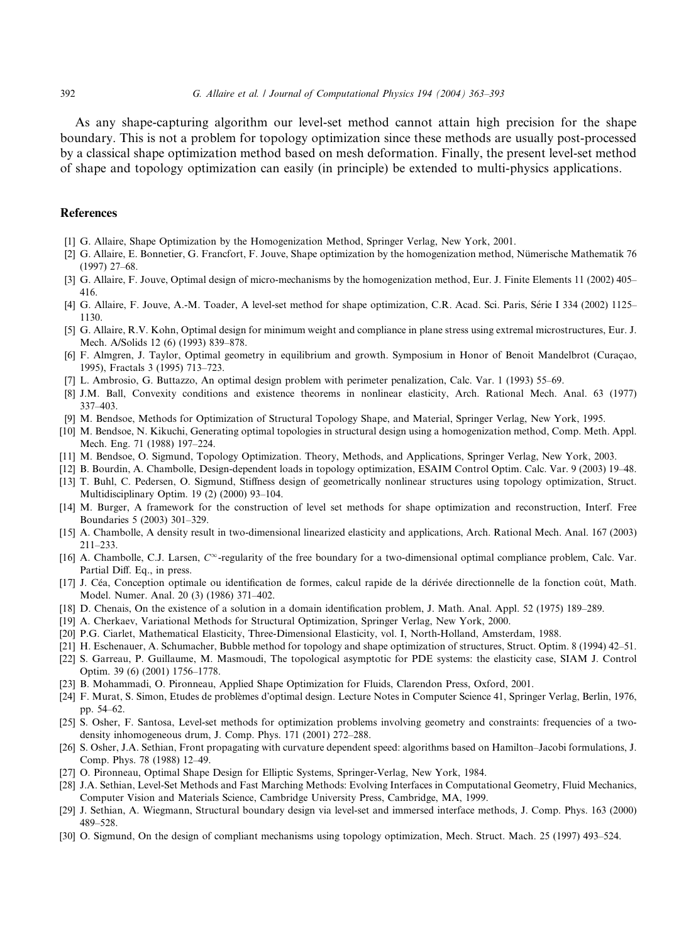As any shape-capturing algorithm our level-set method cannot attain high precision for the shape boundary. This is not a problem for topology optimization since these methods are usually post-processed by a classical shape optimization method based on mesh deformation. Finally, the present level-set method of shape and topology optimization can easily (in principle) be extended to multi-physics applications.

#### References

- [1] G. Allaire, Shape Optimization by the Homogenization Method, Springer Verlag, New York, 2001.
- [2] G. Allaire, E. Bonnetier, G. Francfort, F. Jouve, Shape optimization by the homogenization method, Nümerische Mathematik 76 (1997) 27–68.
- [3] G. Allaire, F. Jouve, Optimal design of micro-mechanisms by the homogenization method, Eur. J. Finite Elements 11 (2002) 405– 416.
- [4] G. Allaire, F. Jouve, A.-M. Toader, A level-set method for shape optimization, C.R. Acad. Sci. Paris, Serie I 334 (2002) 1125– 1130.
- [5] G. Allaire, R.V. Kohn, Optimal design for minimum weight and compliance in plane stress using extremal microstructures, Eur. J. Mech. A/Solids 12 (6) (1993) 839–878.
- [6] F. Almgren, J. Taylor, Optimal geometry in equilibrium and growth. Symposium in Honor of Benoit Mandelbrot (Curacao, 1995), Fractals 3 (1995) 713–723.
- [7] L. Ambrosio, G. Buttazzo, An optimal design problem with perimeter penalization, Calc. Var. 1 (1993) 55–69.
- [8] J.M. Ball, Convexity conditions and existence theorems in nonlinear elasticity, Arch. Rational Mech. Anal. 63 (1977) 337–403.
- [9] M. Bendsoe, Methods for Optimization of Structural Topology Shape, and Material, Springer Verlag, New York, 1995.
- [10] M. Bendsoe, N. Kikuchi, Generating optimal topologies in structural design using a homogenization method, Comp. Meth. Appl. Mech. Eng. 71 (1988) 197–224.
- [11] M. Bendsoe, O. Sigmund, Topology Optimization. Theory, Methods, and Applications, Springer Verlag, New York, 2003.
- [12] B. Bourdin, A. Chambolle, Design-dependent loads in topology optimization, ESAIM Control Optim. Calc. Var. 9 (2003) 19–48.
- [13] T. Buhl, C. Pedersen, O. Sigmund, Stiffness design of geometrically nonlinear structures using topology optimization, Struct. Multidisciplinary Optim. 19 (2) (2000) 93–104.
- [14] M. Burger, A framework for the construction of level set methods for shape optimization and reconstruction, Interf. Free Boundaries 5 (2003) 301–329.
- [15] A. Chambolle, A density result in two-dimensional linearized elasticity and applications, Arch. Rational Mech. Anal. 167 (2003) 211–233.
- [16] A. Chambolle, C.J. Larsen,  $C^{\infty}$ -regularity of the free boundary for a two-dimensional optimal compliance problem, Calc. Var. Partial Diff. Eq., in press.
- [17] J. Cea, Conception optimale ou identification de formes, calcul rapide de la derivee directionnelle de la fonction cout, Math. ^ Model. Numer. Anal. 20 (3) (1986) 371–402.
- [18] D. Chenais, On the existence of a solution in a domain identification problem, J. Math. Anal. Appl. 52 (1975) 189–289.
- [19] A. Cherkaev, Variational Methods for Structural Optimization, Springer Verlag, New York, 2000.
- [20] P.G. Ciarlet, Mathematical Elasticity, Three-Dimensional Elasticity, vol. I, North-Holland, Amsterdam, 1988.
- [21] H. Eschenauer, A. Schumacher, Bubble method for topology and shape optimization of structures, Struct. Optim. 8 (1994) 42–51.
- [22] S. Garreau, P. Guillaume, M. Masmoudi, The topological asymptotic for PDE systems: the elasticity case, SIAM J. Control Optim. 39 (6) (2001) 1756–1778.
- [23] B. Mohammadi, O. Pironneau, Applied Shape Optimization for Fluids, Clarendon Press, Oxford, 2001.
- [24] F. Murat, S. Simon, Etudes de problèmes d'optimal design. Lecture Notes in Computer Science 41, Springer Verlag, Berlin, 1976, pp. 54–62.
- [25] S. Osher, F. Santosa, Level-set methods for optimization problems involving geometry and constraints: frequencies of a twodensity inhomogeneous drum, J. Comp. Phys. 171 (2001) 272–288.
- [26] S. Osher, J.A. Sethian, Front propagating with curvature dependent speed: algorithms based on Hamilton–Jacobi formulations, J. Comp. Phys. 78 (1988) 12–49.
- [27] O. Pironneau, Optimal Shape Design for Elliptic Systems, Springer-Verlag, New York, 1984.
- [28] J.A. Sethian, Level-Set Methods and Fast Marching Methods: Evolving Interfaces in Computational Geometry, Fluid Mechanics, Computer Vision and Materials Science, Cambridge University Press, Cambridge, MA, 1999.
- [29] J. Sethian, A. Wiegmann, Structural boundary design via level-set and immersed interface methods, J. Comp. Phys. 163 (2000) 489–528.
- [30] O. Sigmund, On the design of compliant mechanisms using topology optimization, Mech. Struct. Mach. 25 (1997) 493–524.